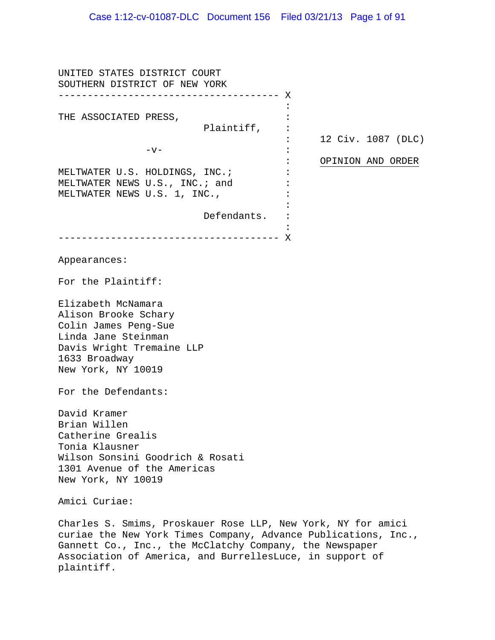UNITED STATES DISTRICT COURT SOUTHERN DISTRICT OF NEW YORK -------------------------------------- X THE ASSOCIATED PRESS, Plaintiff,  $-v-$ MELTWATER U.S. HOLDINGS, INC.; MELTWATER NEWS U.S., INC.; and MELTWATER NEWS U.S. 1, INC., Defendants. -------------------------------------- X : : : : : : : : : :  $\cdot$ : : 12 Civ. 1087 (DLC) OPINION AND ORDER Appearances: For the Plaintiff: Elizabeth McNamara Alison Brooke Schary Colin James Peng-Sue Linda Jane Steinman Davis Wright Tremaine LLP 1633 Broadway New York, NY 10019 For the Defendants: David Kramer Brian Willen Catherine Grealis Tonia Klausner Wilson Sonsini Goodrich & Rosati 1301 Avenue of the Americas New York, NY 10019 Amici Curiae: Charles S. Smims, Proskauer Rose LLP, New York, NY for amici curiae the New York Times Company, Advance Publications, Inc., Gannett Co., Inc., the McClatchy Company, the Newspaper Association of America, and BurrellesLuce, in support of plaintiff.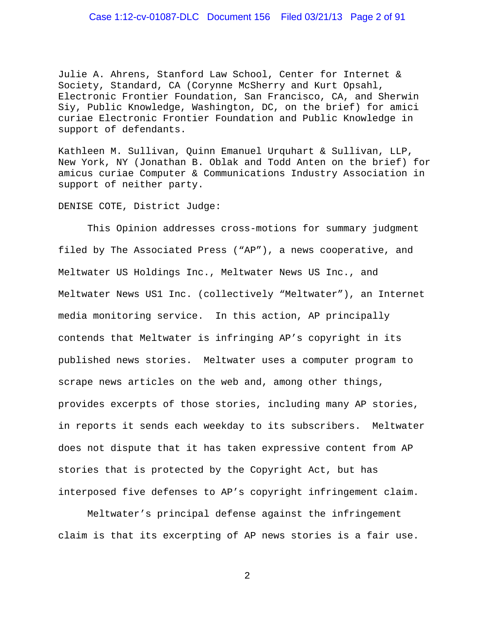### Case 1:12-cv-01087-DLC Document 156 Filed 03/21/13 Page 2 of 91

Julie A. Ahrens, Stanford Law School, Center for Internet & Society, Standard, CA (Corynne McSherry and Kurt Opsahl, Electronic Frontier Foundation, San Francisco, CA, and Sherwin Siy, Public Knowledge, Washington, DC, on the brief) for amici curiae Electronic Frontier Foundation and Public Knowledge in support of defendants.

Kathleen M. Sullivan, Quinn Emanuel Urquhart & Sullivan, LLP, New York, NY (Jonathan B. Oblak and Todd Anten on the brief) for amicus curiae Computer & Communications Industry Association in support of neither party.

#### DENISE COTE, District Judge:

This Opinion addresses cross-motions for summary judgment filed by The Associated Press ("AP"), a news cooperative, and Meltwater US Holdings Inc., Meltwater News US Inc., and Meltwater News US1 Inc. (collectively "Meltwater"), an Internet media monitoring service. In this action, AP principally contends that Meltwater is infringing AP's copyright in its published news stories. Meltwater uses a computer program to scrape news articles on the web and, among other things, provides excerpts of those stories, including many AP stories, in reports it sends each weekday to its subscribers. Meltwater does not dispute that it has taken expressive content from AP stories that is protected by the Copyright Act, but has interposed five defenses to AP's copyright infringement claim.

Meltwater's principal defense against the infringement claim is that its excerpting of AP news stories is a fair use.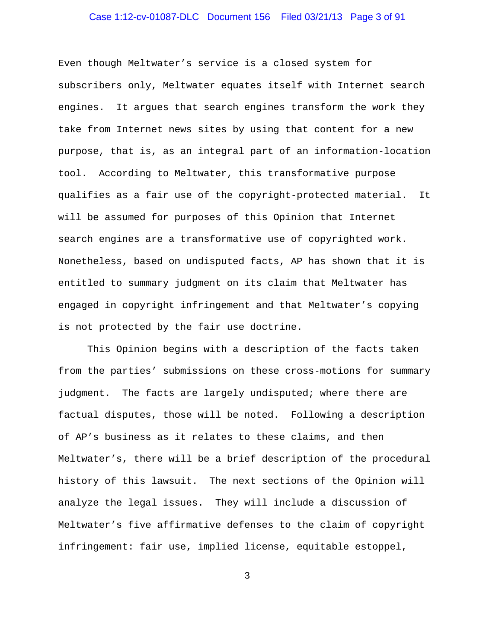# Case 1:12-cv-01087-DLC Document 156 Filed 03/21/13 Page 3 of 91

Even though Meltwater's service is a closed system for subscribers only, Meltwater equates itself with Internet search engines. It argues that search engines transform the work they take from Internet news sites by using that content for a new purpose, that is, as an integral part of an information-location tool. According to Meltwater, this transformative purpose qualifies as a fair use of the copyright-protected material. It will be assumed for purposes of this Opinion that Internet search engines are a transformative use of copyrighted work. Nonetheless, based on undisputed facts, AP has shown that it is entitled to summary judgment on its claim that Meltwater has engaged in copyright infringement and that Meltwater's copying is not protected by the fair use doctrine.

This Opinion begins with a description of the facts taken from the parties' submissions on these cross-motions for summary judgment. The facts are largely undisputed; where there are factual disputes, those will be noted. Following a description of AP's business as it relates to these claims, and then Meltwater's, there will be a brief description of the procedural history of this lawsuit. The next sections of the Opinion will analyze the legal issues. They will include a discussion of Meltwater's five affirmative defenses to the claim of copyright infringement: fair use, implied license, equitable estoppel,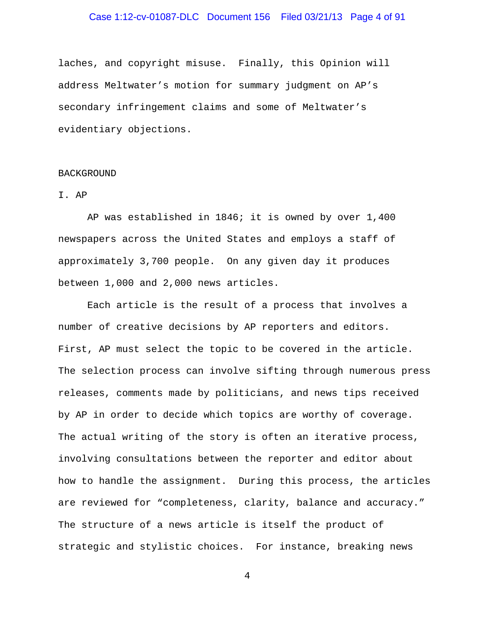### Case 1:12-cv-01087-DLC Document 156 Filed 03/21/13 Page 4 of 91

laches, and copyright misuse. Finally, this Opinion will address Meltwater's motion for summary judgment on AP's secondary infringement claims and some of Meltwater's evidentiary objections.

#### BACKGROUND

### I. AP

AP was established in 1846; it is owned by over 1,400 newspapers across the United States and employs a staff of approximately 3,700 people. On any given day it produces between 1,000 and 2,000 news articles.

Each article is the result of a process that involves a number of creative decisions by AP reporters and editors. First, AP must select the topic to be covered in the article. The selection process can involve sifting through numerous press releases, comments made by politicians, and news tips received by AP in order to decide which topics are worthy of coverage. The actual writing of the story is often an iterative process, involving consultations between the reporter and editor about how to handle the assignment. During this process, the articles are reviewed for "completeness, clarity, balance and accuracy." The structure of a news article is itself the product of strategic and stylistic choices. For instance, breaking news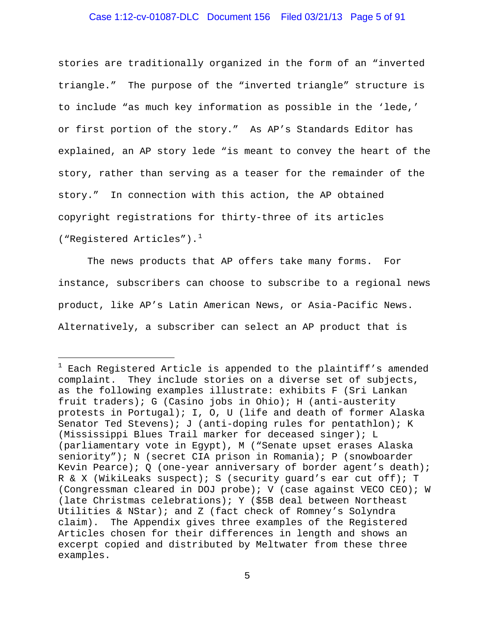### Case 1:12-cv-01087-DLC Document 156 Filed 03/21/13 Page 5 of 91

stories are traditionally organized in the form of an "inverted triangle." The purpose of the "inverted triangle" structure is to include "as much key information as possible in the 'lede,' or first portion of the story." As AP's Standards Editor has explained, an AP story lede "is meant to convey the heart of the story, rather than serving as a teaser for the remainder of the story." In connection with this action, the AP obtained copyright registrations for thirty-three of its articles ("Registered Articles").<sup>[1](#page-4-0)</sup>

The news products that AP offers take many forms. For instance, subscribers can choose to subscribe to a regional news product, like AP's Latin American News, or Asia-Pacific News. Alternatively, a subscriber can select an AP product that is

÷,

<span id="page-4-0"></span> $1$  Each Registered Article is appended to the plaintiff's amended complaint. They include stories on a diverse set of subjects, as the following examples illustrate: exhibits F (Sri Lankan fruit traders); G (Casino jobs in Ohio); H (anti-austerity protests in Portugal); I, O, U (life and death of former Alaska Senator Ted Stevens); J (anti-doping rules for pentathlon); K (Mississippi Blues Trail marker for deceased singer); L (parliamentary vote in Egypt), M ("Senate upset erases Alaska seniority"); N (secret CIA prison in Romania); P (snowboarder Kevin Pearce); Q (one-year anniversary of border agent's death); R & X (WikiLeaks suspect); S (security guard's ear cut off); T (Congressman cleared in DOJ probe); V (case against VECO CEO); W (late Christmas celebrations); Y (\$5B deal between Northeast Utilities & NStar); and Z (fact check of Romney's Solyndra claim). The Appendix gives three examples of the Registered Articles chosen for their differences in length and shows an excerpt copied and distributed by Meltwater from these three examples.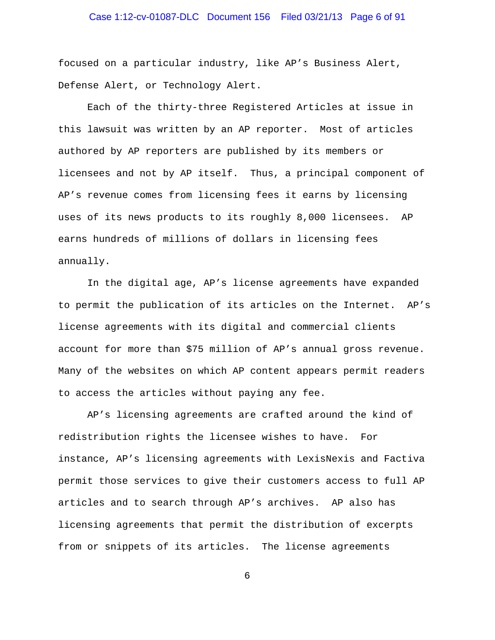# Case 1:12-cv-01087-DLC Document 156 Filed 03/21/13 Page 6 of 91

focused on a particular industry, like AP's Business Alert, Defense Alert, or Technology Alert.

Each of the thirty-three Registered Articles at issue in this lawsuit was written by an AP reporter. Most of articles authored by AP reporters are published by its members or licensees and not by AP itself. Thus, a principal component of AP's revenue comes from licensing fees it earns by licensing uses of its news products to its roughly 8,000 licensees. AP earns hundreds of millions of dollars in licensing fees annually.

In the digital age, AP's license agreements have expanded to permit the publication of its articles on the Internet. AP's license agreements with its digital and commercial clients account for more than \$75 million of AP's annual gross revenue. Many of the websites on which AP content appears permit readers to access the articles without paying any fee.

AP's licensing agreements are crafted around the kind of redistribution rights the licensee wishes to have. For instance, AP's licensing agreements with LexisNexis and Factiva permit those services to give their customers access to full AP articles and to search through AP's archives. AP also has licensing agreements that permit the distribution of excerpts from or snippets of its articles. The license agreements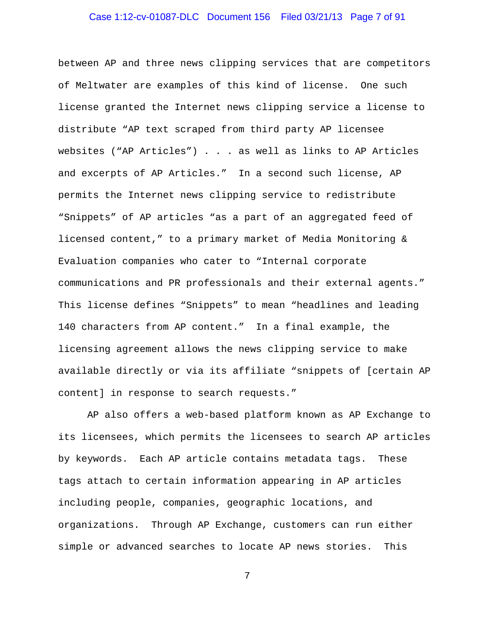# Case 1:12-cv-01087-DLC Document 156 Filed 03/21/13 Page 7 of 91

between AP and three news clipping services that are competitors of Meltwater are examples of this kind of license. One such license granted the Internet news clipping service a license to distribute "AP text scraped from third party AP licensee websites ("AP Articles") . . . as well as links to AP Articles and excerpts of AP Articles." In a second such license, AP permits the Internet news clipping service to redistribute "Snippets" of AP articles "as a part of an aggregated feed of licensed content," to a primary market of Media Monitoring & Evaluation companies who cater to "Internal corporate communications and PR professionals and their external agents." This license defines "Snippets" to mean "headlines and leading 140 characters from AP content." In a final example, the licensing agreement allows the news clipping service to make available directly or via its affiliate "snippets of [certain AP content] in response to search requests."

AP also offers a web-based platform known as AP Exchange to its licensees, which permits the licensees to search AP articles by keywords. Each AP article contains metadata tags. These tags attach to certain information appearing in AP articles including people, companies, geographic locations, and organizations. Through AP Exchange, customers can run either simple or advanced searches to locate AP news stories. This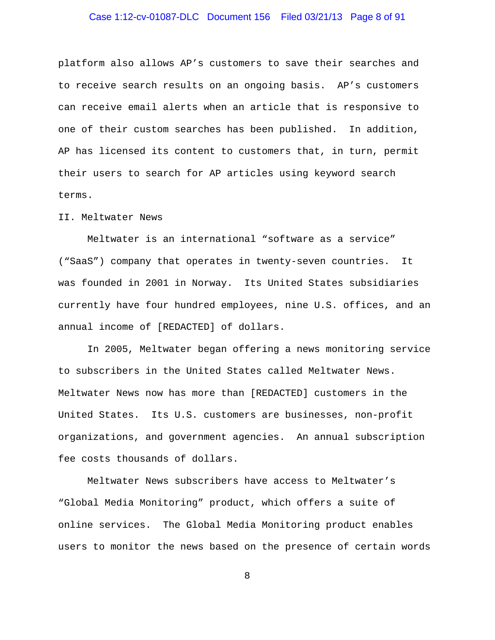# Case 1:12-cv-01087-DLC Document 156 Filed 03/21/13 Page 8 of 91

platform also allows AP's customers to save their searches and to receive search results on an ongoing basis. AP's customers can receive email alerts when an article that is responsive to one of their custom searches has been published. In addition, AP has licensed its content to customers that, in turn, permit their users to search for AP articles using keyword search terms.

#### II. Meltwater News

Meltwater is an international "software as a service" ("SaaS") company that operates in twenty-seven countries. It was founded in 2001 in Norway. Its United States subsidiaries currently have four hundred employees, nine U.S. offices, and an annual income of [REDACTED] of dollars.

In 2005, Meltwater began offering a news monitoring service to subscribers in the United States called Meltwater News. Meltwater News now has more than [REDACTED] customers in the United States. Its U.S. customers are businesses, non-profit organizations, and government agencies. An annual subscription fee costs thousands of dollars.

Meltwater News subscribers have access to Meltwater's "Global Media Monitoring" product, which offers a suite of online services. The Global Media Monitoring product enables users to monitor the news based on the presence of certain words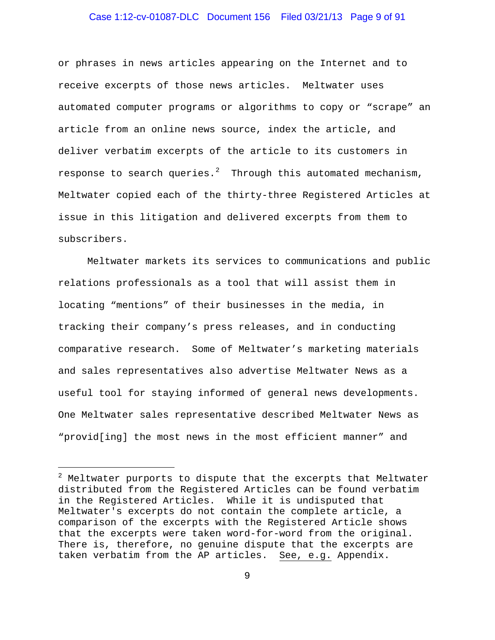### Case 1:12-cv-01087-DLC Document 156 Filed 03/21/13 Page 9 of 91

or phrases in news articles appearing on the Internet and to receive excerpts of those news articles. Meltwater uses automated computer programs or algorithms to copy or "scrape" an article from an online news source, index the article, and deliver verbatim excerpts of the article to its customers in response to search queries. $^2$  $^2$  Through this automated mechanism, Meltwater copied each of the thirty-three Registered Articles at issue in this litigation and delivered excerpts from them to subscribers.

Meltwater markets its services to communications and public relations professionals as a tool that will assist them in locating "mentions" of their businesses in the media, in tracking their company's press releases, and in conducting comparative research. Some of Meltwater's marketing materials and sales representatives also advertise Meltwater News as a useful tool for staying informed of general news developments. One Meltwater sales representative described Meltwater News as "provid[ing] the most news in the most efficient manner" and

i<br>I

<span id="page-8-0"></span> $2$  Meltwater purports to dispute that the excerpts that Meltwater distributed from the Registered Articles can be found verbatim in the Registered Articles. While it is undisputed that Meltwater's excerpts do not contain the complete article, a comparison of the excerpts with the Registered Article shows that the excerpts were taken word-for-word from the original. There is, therefore, no genuine dispute that the excerpts are taken verbatim from the AP articles. See, e.g. Appendix.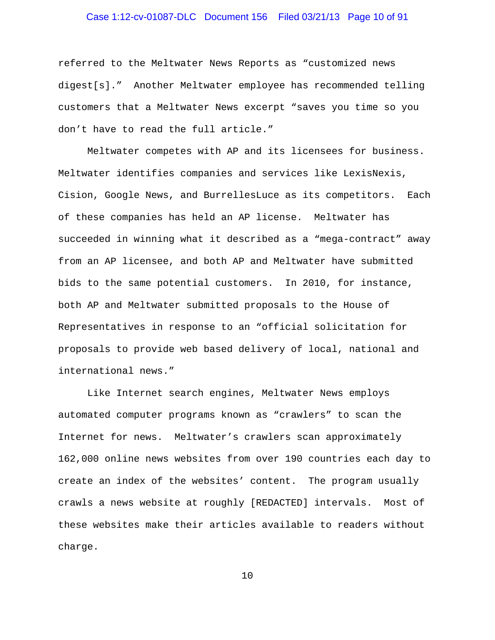# Case 1:12-cv-01087-DLC Document 156 Filed 03/21/13 Page 10 of 91

referred to the Meltwater News Reports as "customized news digest[s]." Another Meltwater employee has recommended telling customers that a Meltwater News excerpt "saves you time so you don't have to read the full article."

Meltwater competes with AP and its licensees for business. Meltwater identifies companies and services like LexisNexis, Cision, Google News, and BurrellesLuce as its competitors. Each of these companies has held an AP license. Meltwater has succeeded in winning what it described as a "mega-contract" away from an AP licensee, and both AP and Meltwater have submitted bids to the same potential customers. In 2010, for instance, both AP and Meltwater submitted proposals to the House of Representatives in response to an "official solicitation for proposals to provide web based delivery of local, national and international news."

Like Internet search engines, Meltwater News employs automated computer programs known as "crawlers" to scan the Internet for news. Meltwater's crawlers scan approximately 162,000 online news websites from over 190 countries each day to create an index of the websites' content. The program usually crawls a news website at roughly [REDACTED] intervals. Most of these websites make their articles available to readers without charge.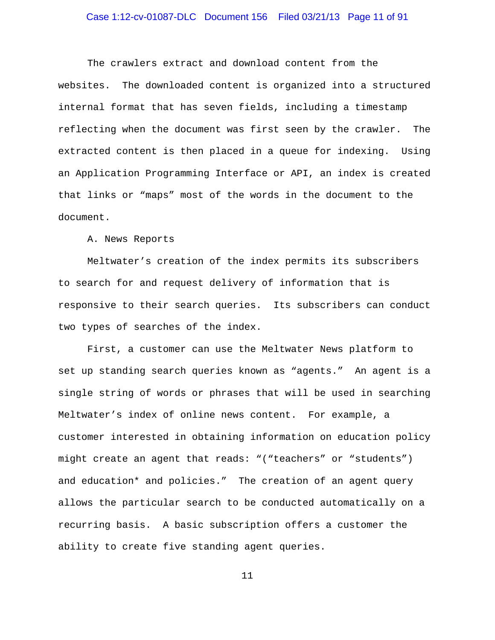### Case 1:12-cv-01087-DLC Document 156 Filed 03/21/13 Page 11 of 91

The crawlers extract and download content from the websites. The downloaded content is organized into a structured internal format that has seven fields, including a timestamp reflecting when the document was first seen by the crawler.The extracted content is then placed in a queue for indexing. Using an Application Programming Interface or API, an index is created that links or "maps" most of the words in the document to the document.

A. News Reports

Meltwater's creation of the index permits its subscribers to search for and request delivery of information that is responsive to their search queries. Its subscribers can conduct two types of searches of the index.

First, a customer can use the Meltwater News platform to set up standing search queries known as "agents." An agent is a single string of words or phrases that will be used in searching Meltwater's index of online news content. For example, a customer interested in obtaining information on education policy might create an agent that reads: "("teachers" or "students") and education\* and policies." The creation of an agent query allows the particular search to be conducted automatically on a recurring basis. A basic subscription offers a customer the ability to create five standing agent queries.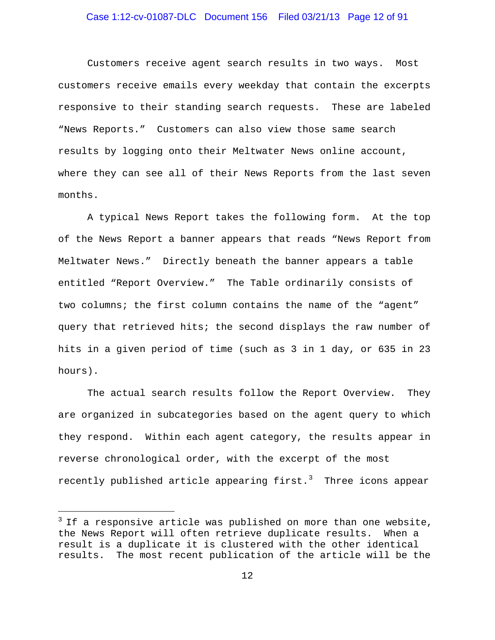### Case 1:12-cv-01087-DLC Document 156 Filed 03/21/13 Page 12 of 91

Customers receive agent search results in two ways. Most customers receive emails every weekday that contain the excerpts responsive to their standing search requests. These are labeled "News Reports." Customers can also view those same search results by logging onto their Meltwater News online account, where they can see all of their News Reports from the last seven months.

A typical News Report takes the following form. At the top of the News Report a banner appears that reads "News Report from Meltwater News." Directly beneath the banner appears a table entitled "Report Overview." The Table ordinarily consists of two columns; the first column contains the name of the "agent" query that retrieved hits; the second displays the raw number of hits in a given period of time (such as 3 in 1 day, or 635 in 23 hours).

The actual search results follow the Report Overview. They are organized in subcategories based on the agent query to which they respond. Within each agent category, the results appear in reverse chronological order, with the excerpt of the most recently published article appearing first.[3](#page-11-0) Three icons appear

i<br>I

<span id="page-11-0"></span> $3$  If a responsive article was published on more than one website, the News Report will often retrieve duplicate results. When a result is a duplicate it is clustered with the other identical results. The most recent publication of the article will be the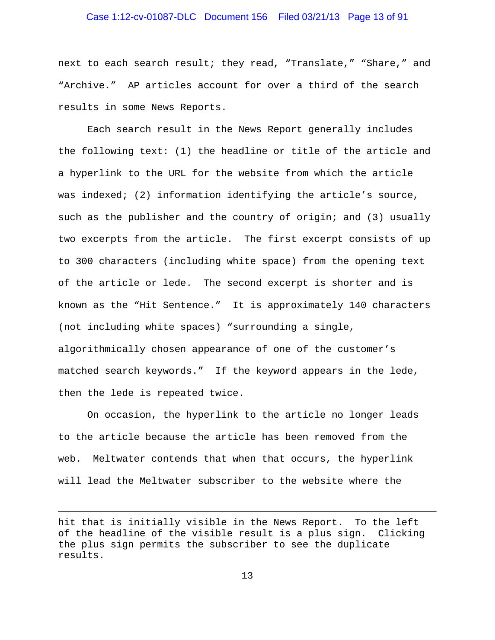### Case 1:12-cv-01087-DLC Document 156 Filed 03/21/13 Page 13 of 91

next to each search result; they read, "Translate," "Share," and "Archive." AP articles account for over a third of the search results in some News Reports.

Each search result in the News Report generally includes the following text: (1) the headline or title of the article and a hyperlink to the URL for the website from which the article was indexed; (2) information identifying the article's source, such as the publisher and the country of origin; and (3) usually two excerpts from the article. The first excerpt consists of up to 300 characters (including white space) from the opening text of the article or lede. The second excerpt is shorter and is known as the "Hit Sentence." It is approximately 140 characters (not including white spaces) "surrounding a single, algorithmically chosen appearance of one of the customer's matched search keywords." If the keyword appears in the lede, then the lede is repeated twice.

On occasion, the hyperlink to the article no longer leads to the article because the article has been removed from the web. Meltwater contends that when that occurs, the hyperlink will lead the Meltwater subscriber to the website where the

i<br>I

hit that is initially visible in the News Report. To the left of the headline of the visible result is a plus sign. Clicking the plus sign permits the subscriber to see the duplicate results.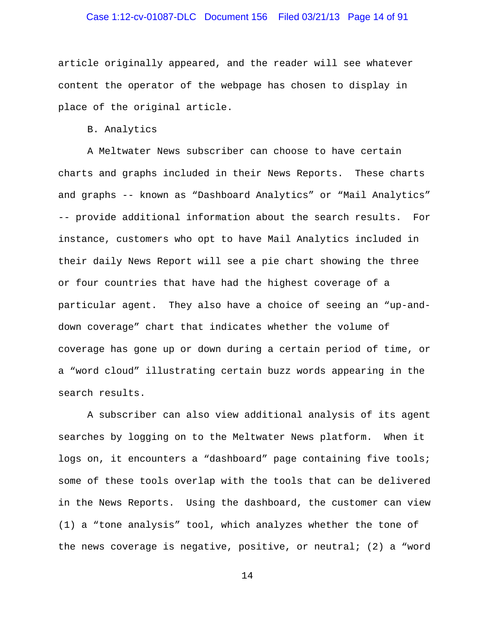### Case 1:12-cv-01087-DLC Document 156 Filed 03/21/13 Page 14 of 91

article originally appeared, and the reader will see whatever content the operator of the webpage has chosen to display in place of the original article.

B. Analytics

A Meltwater News subscriber can choose to have certain charts and graphs included in their News Reports. These charts and graphs -- known as "Dashboard Analytics" or "Mail Analytics" -- provide additional information about the search results. For instance, customers who opt to have Mail Analytics included in their daily News Report will see a pie chart showing the three or four countries that have had the highest coverage of a particular agent. They also have a choice of seeing an "up-anddown coverage" chart that indicates whether the volume of coverage has gone up or down during a certain period of time, or a "word cloud" illustrating certain buzz words appearing in the search results.

A subscriber can also view additional analysis of its agent searches by logging on to the Meltwater News platform. When it logs on, it encounters a "dashboard" page containing five tools; some of these tools overlap with the tools that can be delivered in the News Reports. Using the dashboard, the customer can view (1) a "tone analysis" tool, which analyzes whether the tone of the news coverage is negative, positive, or neutral; (2) a "word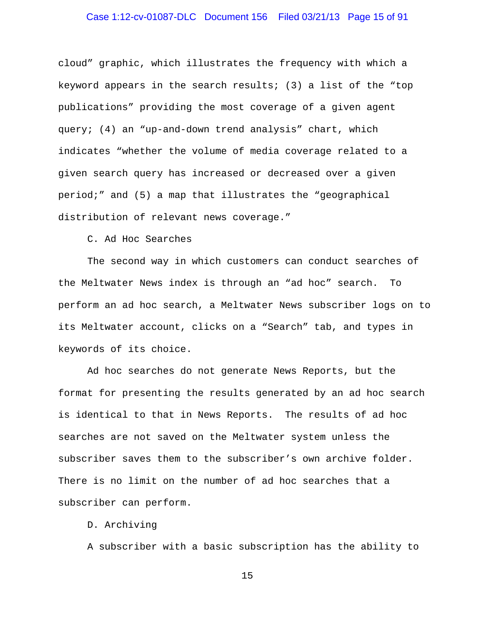### Case 1:12-cv-01087-DLC Document 156 Filed 03/21/13 Page 15 of 91

cloud" graphic, which illustrates the frequency with which a keyword appears in the search results; (3) a list of the "top publications" providing the most coverage of a given agent query; (4) an "up-and-down trend analysis" chart, which indicates "whether the volume of media coverage related to a given search query has increased or decreased over a given period;" and (5) a map that illustrates the "geographical distribution of relevant news coverage."

C. Ad Hoc Searches

The second way in which customers can conduct searches of the Meltwater News index is through an "ad hoc" search. To perform an ad hoc search, a Meltwater News subscriber logs on to its Meltwater account, clicks on a "Search" tab, and types in keywords of its choice.

Ad hoc searches do not generate News Reports, but the format for presenting the results generated by an ad hoc search is identical to that in News Reports. The results of ad hoc searches are not saved on the Meltwater system unless the subscriber saves them to the subscriber's own archive folder. There is no limit on the number of ad hoc searches that a subscriber can perform.

D. Archiving

A subscriber with a basic subscription has the ability to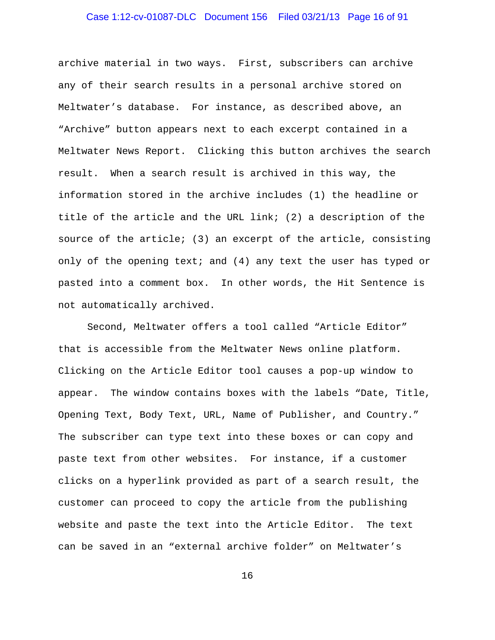### Case 1:12-cv-01087-DLC Document 156 Filed 03/21/13 Page 16 of 91

archive material in two ways. First, subscribers can archive any of their search results in a personal archive stored on Meltwater's database. For instance, as described above, an "Archive" button appears next to each excerpt contained in a Meltwater News Report. Clicking this button archives the search result. When a search result is archived in this way, the information stored in the archive includes (1) the headline or title of the article and the URL link; (2) a description of the source of the article; (3) an excerpt of the article, consisting only of the opening text; and  $(4)$  any text the user has typed or pasted into a comment box. In other words, the Hit Sentence is not automatically archived.

Second, Meltwater offers a tool called "Article Editor" that is accessible from the Meltwater News online platform. Clicking on the Article Editor tool causes a pop-up window to appear. The window contains boxes with the labels "Date, Title, Opening Text, Body Text, URL, Name of Publisher, and Country." The subscriber can type text into these boxes or can copy and paste text from other websites. For instance, if a customer clicks on a hyperlink provided as part of a search result, the customer can proceed to copy the article from the publishing website and paste the text into the Article Editor. The text can be saved in an "external archive folder" on Meltwater's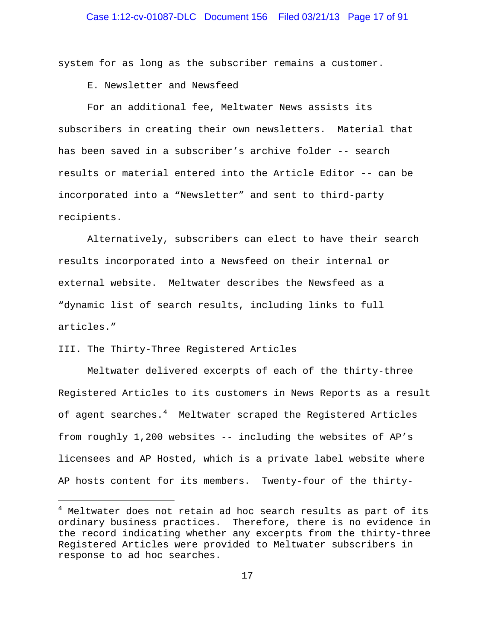system for as long as the subscriber remains a customer.

E. Newsletter and Newsfeed

For an additional fee, Meltwater News assists its subscribers in creating their own newsletters. Material that has been saved in a subscriber's archive folder -- search results or material entered into the Article Editor -- can be incorporated into a "Newsletter" and sent to third-party recipients.

Alternatively, subscribers can elect to have their search results incorporated into a Newsfeed on their internal or external website. Meltwater describes the Newsfeed as a "dynamic list of search results, including links to full articles."

#### III. The Thirty-Three Registered Articles

÷,

Meltwater delivered excerpts of each of the thirty-three Registered Articles to its customers in News Reports as a result of agent searches. $^4$  $^4$  Meltwater scraped the Registered Articles from roughly 1,200 websites -- including the websites of AP's licensees and AP Hosted, which is a private label website where AP hosts content for its members. Twenty-four of the thirty-

<span id="page-16-0"></span> $4$  Meltwater does not retain ad hoc search results as part of its ordinary business practices. Therefore, there is no evidence in the record indicating whether any excerpts from the thirty-three Registered Articles were provided to Meltwater subscribers in response to ad hoc searches.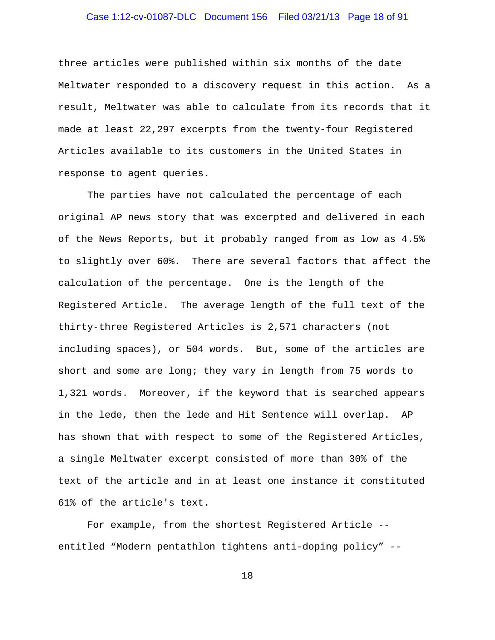### Case 1:12-cv-01087-DLC Document 156 Filed 03/21/13 Page 18 of 91

three articles were published within six months of the date Meltwater responded to a discovery request in this action. As a result, Meltwater was able to calculate from its records that it made at least 22,297 excerpts from the twenty-four Registered Articles available to its customers in the United States in response to agent queries.

The parties have not calculated the percentage of each original AP news story that was excerpted and delivered in each of the News Reports, but it probably ranged from as low as 4.5% to slightly over 60%. There are several factors that affect the calculation of the percentage. One is the length of the Registered Article. The average length of the full text of the thirty-three Registered Articles is 2,571 characters (not including spaces), or 504 words. But, some of the articles are short and some are long; they vary in length from 75 words to 1,321 words. Moreover, if the keyword that is searched appears in the lede, then the lede and Hit Sentence will overlap. AP has shown that with respect to some of the Registered Articles, a single Meltwater excerpt consisted of more than 30% of the text of the article and in at least one instance it constituted 61% of the article's text.

For example, from the shortest Registered Article - entitled "Modern pentathlon tightens anti-doping policy" --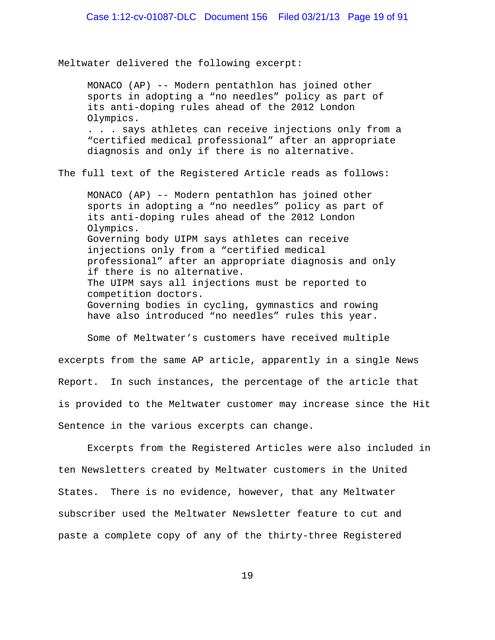Meltwater delivered the following excerpt:

MONACO (AP) -- Modern pentathlon has joined other sports in adopting a "no needles" policy as part of its anti-doping rules ahead of the 2012 London Olympics. . . . says athletes can receive injections only from a "certified medical professional" after an appropriate diagnosis and only if there is no alternative.

The full text of the Registered Article reads as follows:

MONACO (AP) -- Modern pentathlon has joined other sports in adopting a "no needles" policy as part of its anti-doping rules ahead of the 2012 London Olympics. Governing body UIPM says athletes can receive injections only from a "certified medical professional" after an appropriate diagnosis and only if there is no alternative. The UIPM says all injections must be reported to competition doctors. Governing bodies in cycling, gymnastics and rowing have also introduced "no needles" rules this year.

Some of Meltwater's customers have received multiple excerpts from the same AP article, apparently in a single News Report. In such instances, the percentage of the article that is provided to the Meltwater customer may increase since the Hit Sentence in the various excerpts can change.

Excerpts from the Registered Articles were also included in ten Newsletters created by Meltwater customers in the United States. There is no evidence, however, that any Meltwater subscriber used the Meltwater Newsletter feature to cut and paste a complete copy of any of the thirty-three Registered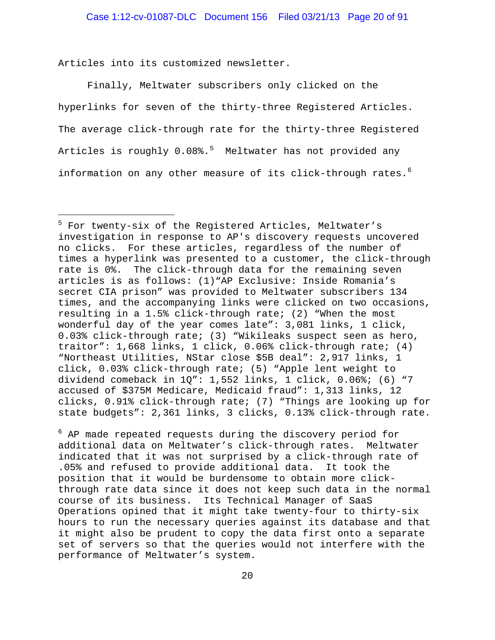Articles into its customized newsletter.

i<br>I

 $\mathbf{r}$ 

Finally, Meltwater subscribers only clicked on the hyperlinks for seven of the thirty-three Registered Articles. The average click-through rate for the thirty-three Registered Articles is roughly  $0.08\text{\textdegree}$ . Meltwater has not provided any information on any other measure of its click-through rates.<sup>[6](#page-19-1)</sup>

<span id="page-19-1"></span> $^6$  AP made repeated requests during the discovery period for additional data on Meltwater's click-through rates. Meltwater indicated that it was not surprised by a click-through rate of .05% and refused to provide additional data. It took the position that it would be burdensome to obtain more clickthrough rate data since it does not keep such data in the normal course of its business. Its Technical Manager of SaaS Operations opined that it might take twenty-four to thirty-six hours to run the necessary queries against its database and that it might also be prudent to copy the data first onto a separate set of servers so that the queries would not interfere with the performance of Meltwater's system.

<span id="page-19-0"></span><sup>5</sup> For twenty-six of the Registered Articles, Meltwater's investigation in response to AP's discovery requests uncovered no clicks. For these articles, regardless of the number of times a hyperlink was presented to a customer, the click-through rate is 0%. The click-through data for the remaining seven articles is as follows: (1)"AP Exclusive: Inside Romania's secret CIA prison" was provided to Meltwater subscribers 134 times, and the accompanying links were clicked on two occasions, resulting in a 1.5% click-through rate; (2) "When the most wonderful day of the year comes late": 3,081 links, 1 click, 0.03% click-through rate; (3) "Wikileaks suspect seen as hero, traitor": 1,668 links, 1 click, 0.06% click-through rate; (4) "Northeast Utilities, NStar close \$5B deal": 2,917 links, 1 click, 0.03% click-through rate; (5) "Apple lent weight to dividend comeback in 1Q": 1,552 links, 1 click, 0.06%; (6) "7 accused of \$375M Medicare, Medicaid fraud": 1,313 links, 12 clicks, 0.91% click-through rate; (7) "Things are looking up for state budgets": 2,361 links, 3 clicks, 0.13% click-through rate.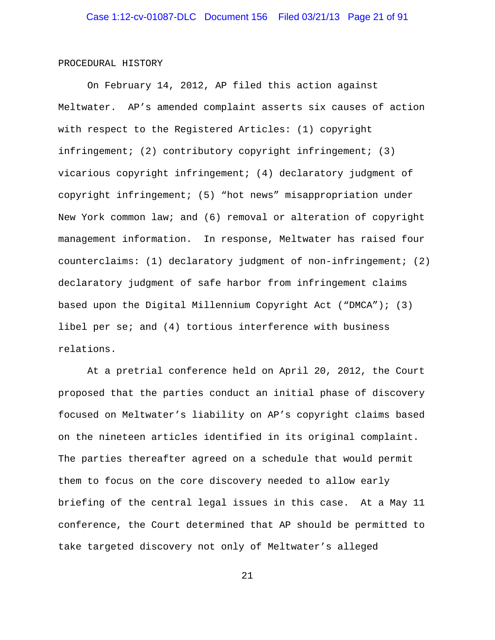#### PROCEDURAL HISTORY

On February 14, 2012, AP filed this action against Meltwater. AP's amended complaint asserts six causes of action with respect to the Registered Articles: (1) copyright infringement; (2) contributory copyright infringement; (3) vicarious copyright infringement; (4) declaratory judgment of copyright infringement; (5) "hot news" misappropriation under New York common law; and (6) removal or alteration of copyright management information. In response, Meltwater has raised four counterclaims: (1) declaratory judgment of non-infringement; (2) declaratory judgment of safe harbor from infringement claims based upon the Digital Millennium Copyright Act ("DMCA"); (3) libel per se; and (4) tortious interference with business relations.

At a pretrial conference held on April 20, 2012, the Court proposed that the parties conduct an initial phase of discovery focused on Meltwater's liability on AP's copyright claims based on the nineteen articles identified in its original complaint. The parties thereafter agreed on a schedule that would permit them to focus on the core discovery needed to allow early briefing of the central legal issues in this case. At a May 11 conference, the Court determined that AP should be permitted to take targeted discovery not only of Meltwater's alleged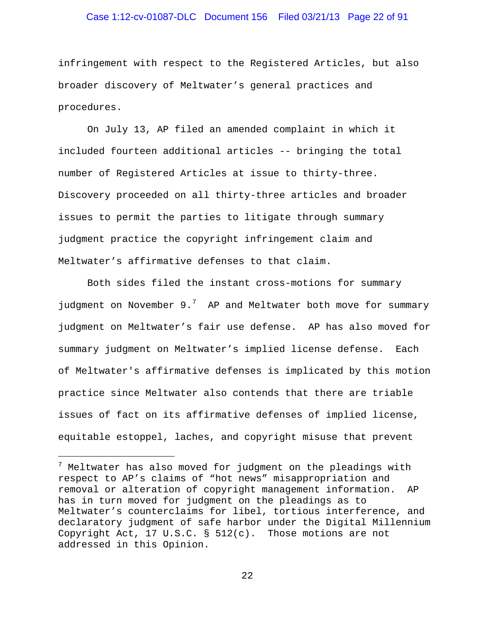### Case 1:12-cv-01087-DLC Document 156 Filed 03/21/13 Page 22 of 91

infringement with respect to the Registered Articles, but also broader discovery of Meltwater's general practices and procedures.

On July 13, AP filed an amended complaint in which it included fourteen additional articles -- bringing the total number of Registered Articles at issue to thirty-three. Discovery proceeded on all thirty-three articles and broader issues to permit the parties to litigate through summary judgment practice the copyright infringement claim and Meltwater's affirmative defenses to that claim.

Both sides filed the instant cross-motions for summary judgment on November 9.<sup>[7](#page-21-0)</sup> AP and Meltwater both move for summary judgment on Meltwater's fair use defense. AP has also moved for summary judgment on Meltwater's implied license defense. Each of Meltwater's affirmative defenses is implicated by this motion practice since Meltwater also contends that there are triable issues of fact on its affirmative defenses of implied license, equitable estoppel, laches, and copyright misuse that prevent

÷,

<span id="page-21-0"></span> $7$  Meltwater has also moved for judgment on the pleadings with respect to AP's claims of "hot news" misappropriation and removal or alteration of copyright management information. AP has in turn moved for judgment on the pleadings as to Meltwater's counterclaims for libel, tortious interference, and declaratory judgment of safe harbor under the Digital Millennium Copyright Act, 17 U.S.C. § 512(c). Those motions are not addressed in this Opinion.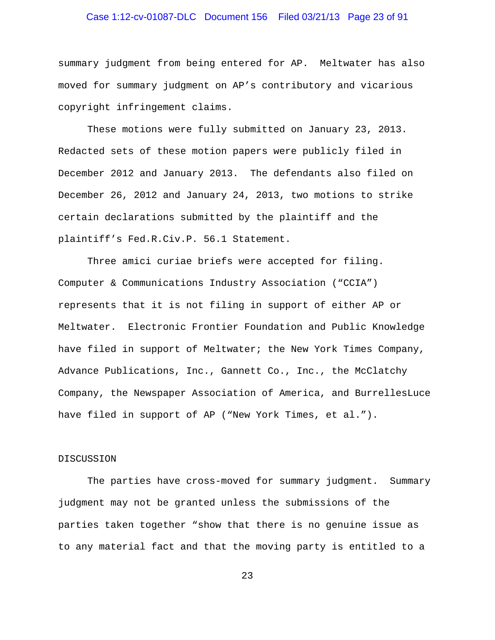# Case 1:12-cv-01087-DLC Document 156 Filed 03/21/13 Page 23 of 91

summary judgment from being entered for AP. Meltwater has also moved for summary judgment on AP's contributory and vicarious copyright infringement claims.

These motions were fully submitted on January 23, 2013. Redacted sets of these motion papers were publicly filed in December 2012 and January 2013. The defendants also filed on December 26, 2012 and January 24, 2013, two motions to strike certain declarations submitted by the plaintiff and the plaintiff's Fed.R.Civ.P. 56.1 Statement.

Three amici curiae briefs were accepted for filing. Computer & Communications Industry Association ("CCIA") represents that it is not filing in support of either AP or Meltwater. Electronic Frontier Foundation and Public Knowledge have filed in support of Meltwater; the New York Times Company, Advance Publications, Inc., Gannett Co., Inc., the McClatchy Company, the Newspaper Association of America, and BurrellesLuce have filed in support of AP ("New York Times, et al.").

#### DISCUSSION

The parties have cross-moved for summary judgment. Summary judgment may not be granted unless the submissions of the parties taken together "show that there is no genuine issue as to any material fact and that the moving party is entitled to a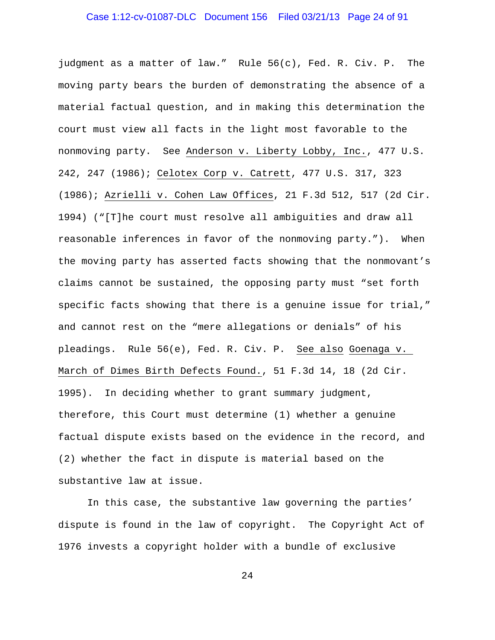# Case 1:12-cv-01087-DLC Document 156 Filed 03/21/13 Page 24 of 91

judgment as a matter of law." Rule 56(c), Fed. R. Civ. P. The moving party bears the burden of demonstrating the absence of a material factual question, and in making this determination the court must view all facts in the light most favorable to the nonmoving party. See Anderson v. Liberty Lobby, Inc., 477 U.S. 242, 247 (1986); Celotex Corp v. Catrett, 477 U.S. 317, 323 (1986); Azrielli v. Cohen Law Offices, 21 F.3d 512, 517 (2d Cir. 1994) ("[T]he court must resolve all ambiguities and draw all reasonable inferences in favor of the nonmoving party."). When the moving party has asserted facts showing that the nonmovant's claims cannot be sustained, the opposing party must "set forth specific facts showing that there is a genuine issue for trial," and cannot rest on the "mere allegations or denials" of his pleadings. Rule 56(e), Fed. R. Civ. P. See also Goenaga v. March of Dimes Birth Defects Found., 51 F.3d 14, 18 (2d Cir. 1995). In deciding whether to grant summary judgment, therefore, this Court must determine (1) whether a genuine factual dispute exists based on the evidence in the record, and (2) whether the fact in dispute is material based on the substantive law at issue.

In this case, the substantive law governing the parties' dispute is found in the law of copyright. The Copyright Act of 1976 invests a copyright holder with a bundle of exclusive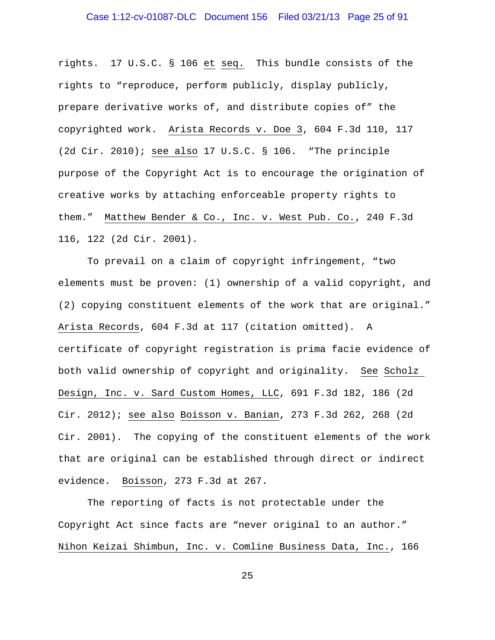### Case 1:12-cv-01087-DLC Document 156 Filed 03/21/13 Page 25 of 91

rights. 17 U.S.C. § 106 et seq. This bundle consists of the rights to "reproduce, perform publicly, display publicly, prepare derivative works of, and distribute copies of" the copyrighted work. Arista Records v. Doe 3, 604 F.3d 110, 117 (2d Cir. 2010); see also 17 U.S.C. § 106. "The principle purpose of the Copyright Act is to encourage the origination of creative works by attaching enforceable property rights to them." Matthew Bender & Co., Inc. v. West Pub. Co., 240 F.3d 116, 122 (2d Cir. 2001).

To prevail on a claim of copyright infringement, "two elements must be proven: (1) ownership of a valid copyright, and (2) copying constituent elements of the work that are original." Arista Records, 604 F.3d at 117 (citation omitted). A certificate of copyright registration is prima facie evidence of both valid ownership of copyright and originality. See Scholz Design, Inc. v. Sard Custom Homes, LLC, 691 F.3d 182, 186 (2d Cir. 2012); see also Boisson v. Banian, 273 F.3d 262, 268 (2d Cir. 2001). The copying of the constituent elements of the work that are original can be established through direct or indirect evidence. Boisson, 273 F.3d at 267.

The reporting of facts is not protectable under the Copyright Act since facts are "never original to an author." Nihon Keizai Shimbun, Inc. v. Comline Business Data, Inc., 166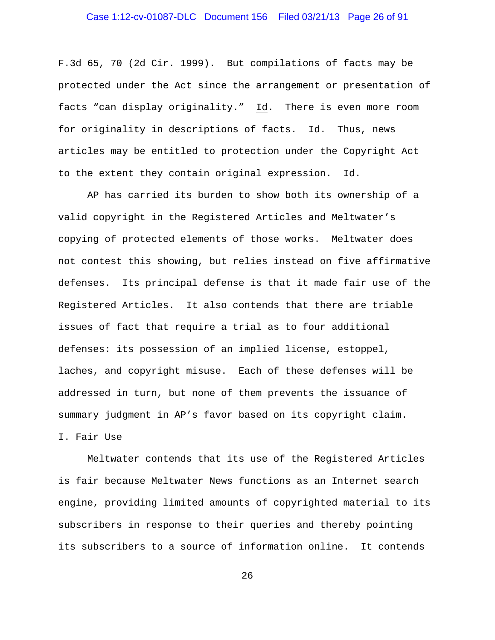### Case 1:12-cv-01087-DLC Document 156 Filed 03/21/13 Page 26 of 91

F.3d 65, 70 (2d Cir. 1999). But compilations of facts may be protected under the Act since the arrangement or presentation of facts "can display originality." Id. There is even more room for originality in descriptions of facts. Id. Thus, news articles may be entitled to protection under the Copyright Act to the extent they contain original expression. Id.

AP has carried its burden to show both its ownership of a valid copyright in the Registered Articles and Meltwater's copying of protected elements of those works. Meltwater does not contest this showing, but relies instead on five affirmative defenses. Its principal defense is that it made fair use of the Registered Articles. It also contends that there are triable issues of fact that require a trial as to four additional defenses: its possession of an implied license, estoppel, laches, and copyright misuse. Each of these defenses will be addressed in turn, but none of them prevents the issuance of summary judgment in AP's favor based on its copyright claim. I. Fair Use

Meltwater contends that its use of the Registered Articles is fair because Meltwater News functions as an Internet search engine, providing limited amounts of copyrighted material to its subscribers in response to their queries and thereby pointing its subscribers to a source of information online. It contends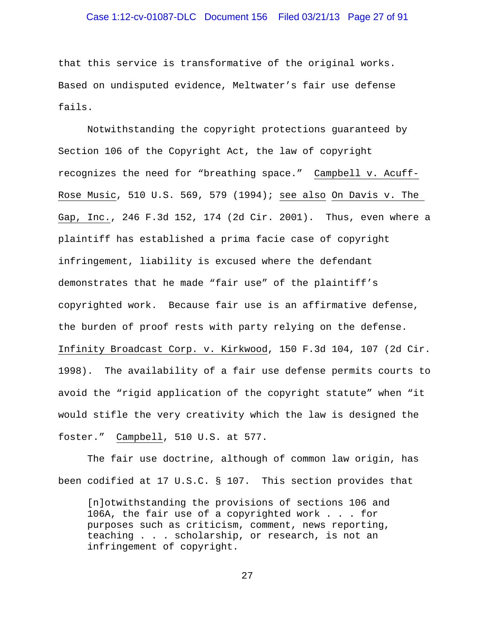### Case 1:12-cv-01087-DLC Document 156 Filed 03/21/13 Page 27 of 91

that this service is transformative of the original works. Based on undisputed evidence, Meltwater's fair use defense fails.

Notwithstanding the copyright protections guaranteed by Section 106 of the Copyright Act, the law of copyright recognizes the need for "breathing space." Campbell v. Acuff-Rose Music, 510 U.S. 569, 579 (1994); see also On Davis v. The Gap, Inc., 246 F.3d 152, 174 (2d Cir. 2001). Thus, even where a plaintiff has established a prima facie case of copyright infringement, liability is excused where the defendant demonstrates that he made "fair use" of the plaintiff's copyrighted work. Because fair use is an affirmative defense, the burden of proof rests with party relying on the defense. Infinity Broadcast Corp. v. Kirkwood, 150 F.3d 104, 107 (2d Cir. 1998). The availability of a fair use defense permits courts to avoid the "rigid application of the copyright statute" when "it would stifle the very creativity which the law is designed the foster." Campbell, 510 U.S. at 577.

The fair use doctrine, although of common law origin, has been codified at 17 U.S.C. § 107. This section provides that

[n]otwithstanding the provisions of sections 106 and 106A, the fair use of a copyrighted work . . . for purposes such as criticism, comment, news reporting, teaching . . . scholarship, or research, is not an infringement of copyright.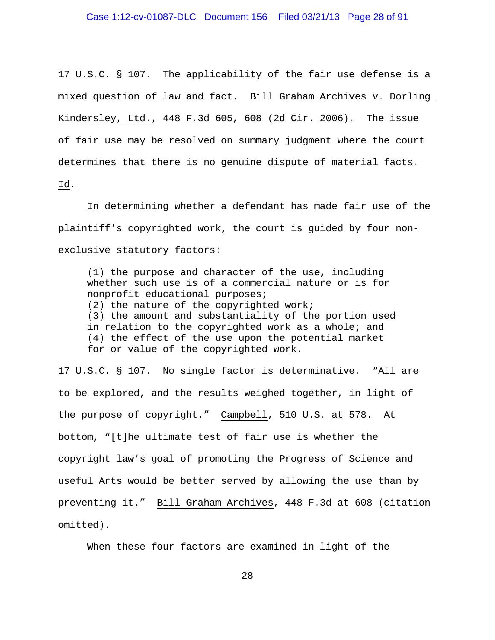### Case 1:12-cv-01087-DLC Document 156 Filed 03/21/13 Page 28 of 91

17 U.S.C. § 107. The applicability of the fair use defense is a mixed question of law and fact. Bill Graham Archives v. Dorling Kindersley, Ltd., 448 F.3d 605, 608 (2d Cir. 2006). The issue of fair use may be resolved on summary judgment where the court determines that there is no genuine dispute of material facts.

Id.

In determining whether a defendant has made fair use of the plaintiff's copyrighted work, the court is guided by four nonexclusive statutory factors:

(1) the purpose and character of the use, including whether such use is of a commercial nature or is for nonprofit educational purposes; (2) the nature of the copyrighted work; (3) the amount and substantiality of the portion used in relation to the copyrighted work as a whole; and (4) the effect of the use upon the potential market for or value of the copyrighted work.

17 U.S.C. § 107. No single factor is determinative. "All are to be explored, and the results weighed together, in light of the purpose of copyright." Campbell, 510 U.S. at 578. At bottom, "[t]he ultimate test of fair use is whether the copyright law's goal of promoting the Progress of Science and useful Arts would be better served by allowing the use than by preventing it." Bill Graham Archives, 448 F.3d at 608 (citation omitted).

When these four factors are examined in light of the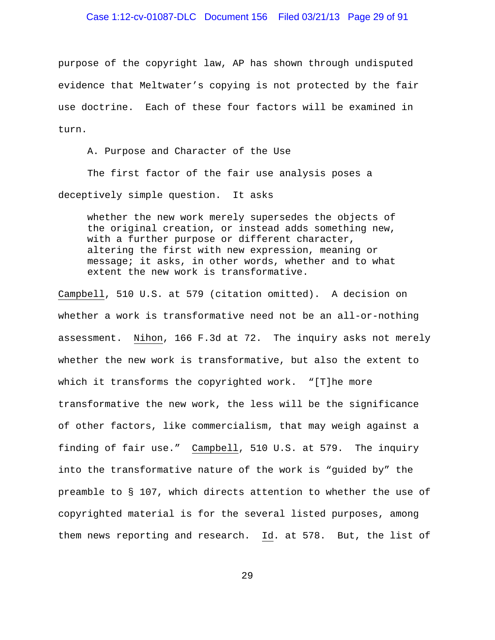### Case 1:12-cv-01087-DLC Document 156 Filed 03/21/13 Page 29 of 91

purpose of the copyright law, AP has shown through undisputed evidence that Meltwater's copying is not protected by the fair use doctrine. Each of these four factors will be examined in turn.

A. Purpose and Character of the Use

The first factor of the fair use analysis poses a deceptively simple question. It asks

whether the new work merely supersedes the objects of the original creation, or instead adds something new, with a further purpose or different character, altering the first with new expression, meaning or message; it asks, in other words, whether and to what extent the new work is transformative.

Campbell, 510 U.S. at 579 (citation omitted). A decision on whether a work is transformative need not be an all-or-nothing assessment. Nihon, 166 F.3d at 72. The inquiry asks not merely whether the new work is transformative, but also the extent to which it transforms the copyrighted work. "[T]he more transformative the new work, the less will be the significance of other factors, like commercialism, that may weigh against a finding of fair use." Campbell, 510 U.S. at 579. The inquiry into the transformative nature of the work is "guided by" the preamble to § 107, which directs attention to whether the use of copyrighted material is for the several listed purposes, among them news reporting and research. Id. at 578. But, the list of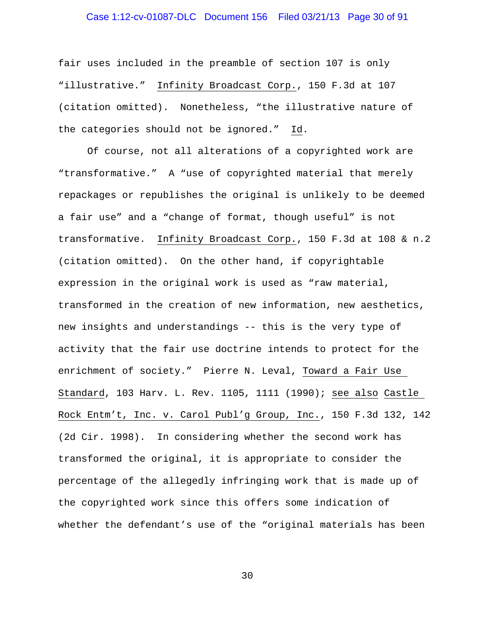# Case 1:12-cv-01087-DLC Document 156 Filed 03/21/13 Page 30 of 91

fair uses included in the preamble of section 107 is only "illustrative." Infinity Broadcast Corp., 150 F.3d at 107 (citation omitted). Nonetheless, "the illustrative nature of the categories should not be ignored." Id.

Of course, not all alterations of a copyrighted work are "transformative." A "use of copyrighted material that merely repackages or republishes the original is unlikely to be deemed a fair use" and a "change of format, though useful" is not transformative. Infinity Broadcast Corp., 150 F.3d at 108 & n.2 (citation omitted). On the other hand, if copyrightable expression in the original work is used as "raw material, transformed in the creation of new information, new aesthetics, new insights and understandings -- this is the very type of activity that the fair use doctrine intends to protect for the enrichment of society." Pierre N. Leval, Toward a Fair Use Standard, 103 Harv. L. Rev. 1105, 1111 (1990); see also Castle Rock Entm't, Inc. v. Carol Publ'g Group, Inc., 150 F.3d 132, 142 (2d Cir. 1998). In considering whether the second work has transformed the original, it is appropriate to consider the percentage of the allegedly infringing work that is made up of the copyrighted work since this offers some indication of whether the defendant's use of the "original materials has been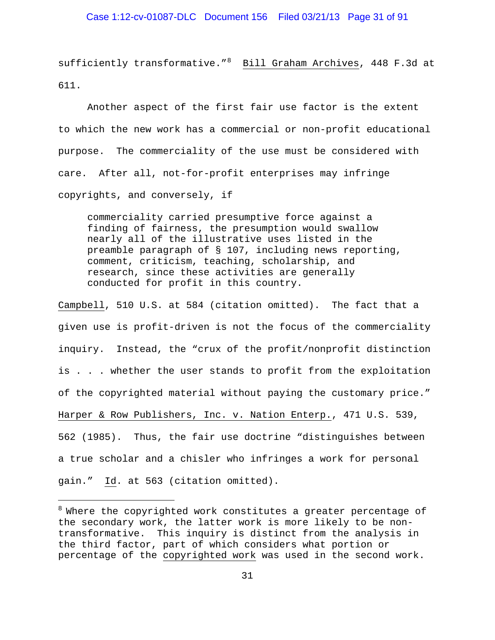### Case 1:12-cv-01087-DLC Document 156 Filed 03/21/13 Page 31 of 91

sufficiently transformative."<sup>[8](#page-30-0)</sup> Bill Graham Archives, 448 F.3d at 611.

Another aspect of the first fair use factor is the extent to which the new work has a commercial or non-profit educational purpose. The commerciality of the use must be considered with care. After all, not-for-profit enterprises may infringe copyrights, and conversely, if

commerciality carried presumptive force against a finding of fairness, the presumption would swallow nearly all of the illustrative uses listed in the preamble paragraph of § 107, including news reporting, comment, criticism, teaching, scholarship, and research, since these activities are generally conducted for profit in this country.

Campbell, 510 U.S. at 584 (citation omitted). The fact that a given use is profit-driven is not the focus of the commerciality inquiry. Instead, the "crux of the profit/nonprofit distinction is . . . whether the user stands to profit from the exploitation of the copyrighted material without paying the customary price." Harper & Row Publishers, Inc. v. Nation Enterp., 471 U.S. 539, 562 (1985). Thus, the fair use doctrine "distinguishes between a true scholar and a chisler who infringes a work for personal gain." Id. at 563 (citation omitted).

÷,

<span id="page-30-0"></span> $8$  Where the copyrighted work constitutes a greater percentage of the secondary work, the latter work is more likely to be nontransformative. This inquiry is distinct from the analysis in the third factor, part of which considers what portion or percentage of the copyrighted work was used in the second work.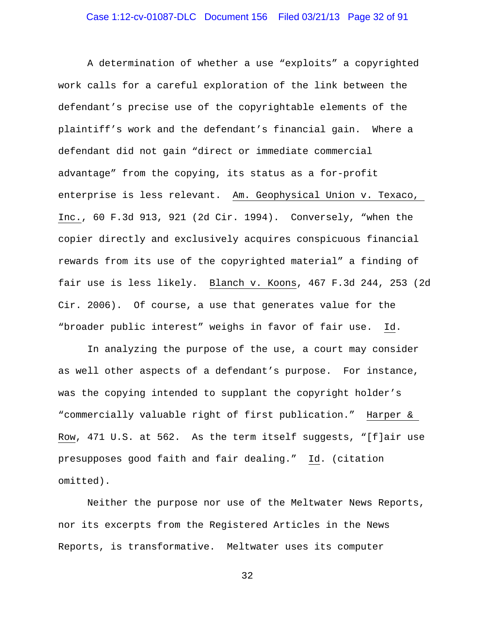A determination of whether a use "exploits" a copyrighted work calls for a careful exploration of the link between the defendant's precise use of the copyrightable elements of the plaintiff's work and the defendant's financial gain. Where a defendant did not gain "direct or immediate commercial advantage" from the copying, its status as a for-profit enterprise is less relevant. Am. Geophysical Union v. Texaco, Inc., 60 F.3d 913, 921 (2d Cir. 1994). Conversely, "when the copier directly and exclusively acquires conspicuous financial rewards from its use of the copyrighted material" a finding of fair use is less likely. Blanch v. Koons, 467 F.3d 244, 253 (2d Cir. 2006). Of course, a use that generates value for the "broader public interest" weighs in favor of fair use. Id.

In analyzing the purpose of the use, a court may consider as well other aspects of a defendant's purpose. For instance, was the copying intended to supplant the copyright holder's "commercially valuable right of first publication." Harper & Row, 471 U.S. at 562. As the term itself suggests, "[f]air use presupposes good faith and fair dealing." Id. (citation omitted).

Neither the purpose nor use of the Meltwater News Reports, nor its excerpts from the Registered Articles in the News Reports, is transformative. Meltwater uses its computer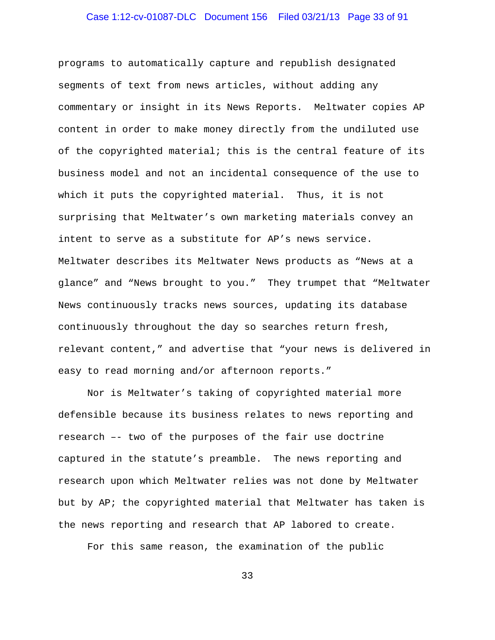# Case 1:12-cv-01087-DLC Document 156 Filed 03/21/13 Page 33 of 91

programs to automatically capture and republish designated segments of text from news articles, without adding any commentary or insight in its News Reports. Meltwater copies AP content in order to make money directly from the undiluted use of the copyrighted material; this is the central feature of its business model and not an incidental consequence of the use to which it puts the copyrighted material. Thus, it is not surprising that Meltwater's own marketing materials convey an intent to serve as a substitute for AP's news service. Meltwater describes its Meltwater News products as "News at a glance" and "News brought to you." They trumpet that "Meltwater News continuously tracks news sources, updating its database continuously throughout the day so searches return fresh, relevant content," and advertise that "your news is delivered in easy to read morning and/or afternoon reports."

Nor is Meltwater's taking of copyrighted material more defensible because its business relates to news reporting and research –- two of the purposes of the fair use doctrine captured in the statute's preamble. The news reporting and research upon which Meltwater relies was not done by Meltwater but by AP; the copyrighted material that Meltwater has taken is the news reporting and research that AP labored to create.

For this same reason, the examination of the public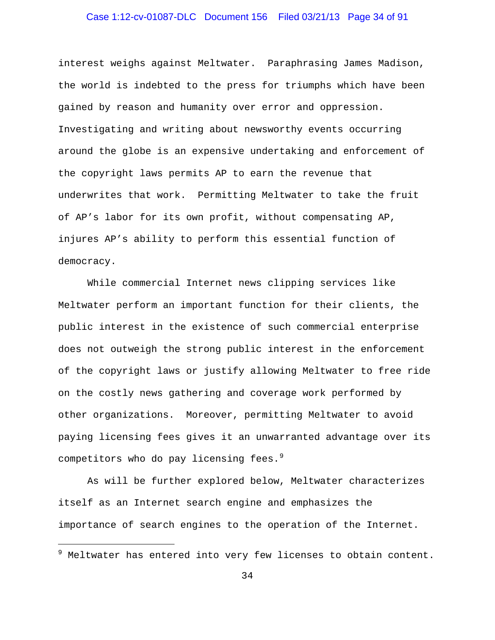# Case 1:12-cv-01087-DLC Document 156 Filed 03/21/13 Page 34 of 91

interest weighs against Meltwater. Paraphrasing James Madison, the world is indebted to the press for triumphs which have been gained by reason and humanity over error and oppression. Investigating and writing about newsworthy events occurring around the globe is an expensive undertaking and enforcement of the copyright laws permits AP to earn the revenue that underwrites that work. Permitting Meltwater to take the fruit of AP's labor for its own profit, without compensating AP, injures AP's ability to perform this essential function of democracy.

While commercial Internet news clipping services like Meltwater perform an important function for their clients, the public interest in the existence of such commercial enterprise does not outweigh the strong public interest in the enforcement of the copyright laws or justify allowing Meltwater to free ride on the costly news gathering and coverage work performed by other organizations. Moreover, permitting Meltwater to avoid paying licensing fees gives it an unwarranted advantage over its competitors who do pay licensing fees. $^9$  $^9$ 

As will be further explored below, Meltwater characterizes itself as an Internet search engine and emphasizes the importance of search engines to the operation of the Internet.

÷,

<span id="page-33-0"></span> $9$  Meltwater has entered into very few licenses to obtain content.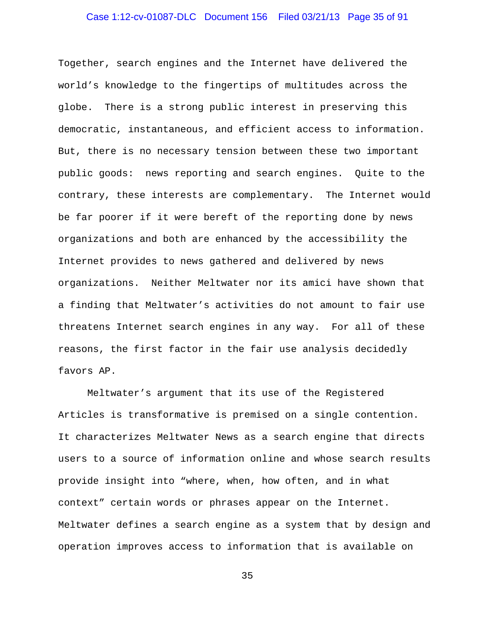# Case 1:12-cv-01087-DLC Document 156 Filed 03/21/13 Page 35 of 91

Together, search engines and the Internet have delivered the world's knowledge to the fingertips of multitudes across the globe. There is a strong public interest in preserving this democratic, instantaneous, and efficient access to information. But, there is no necessary tension between these two important public goods: news reporting and search engines. Quite to the contrary, these interests are complementary. The Internet would be far poorer if it were bereft of the reporting done by news organizations and both are enhanced by the accessibility the Internet provides to news gathered and delivered by news organizations. Neither Meltwater nor its amici have shown that a finding that Meltwater's activities do not amount to fair use threatens Internet search engines in any way. For all of these reasons, the first factor in the fair use analysis decidedly favors AP.

Meltwater's argument that its use of the Registered Articles is transformative is premised on a single contention. It characterizes Meltwater News as a search engine that directs users to a source of information online and whose search results provide insight into "where, when, how often, and in what context" certain words or phrases appear on the Internet. Meltwater defines a search engine as a system that by design and operation improves access to information that is available on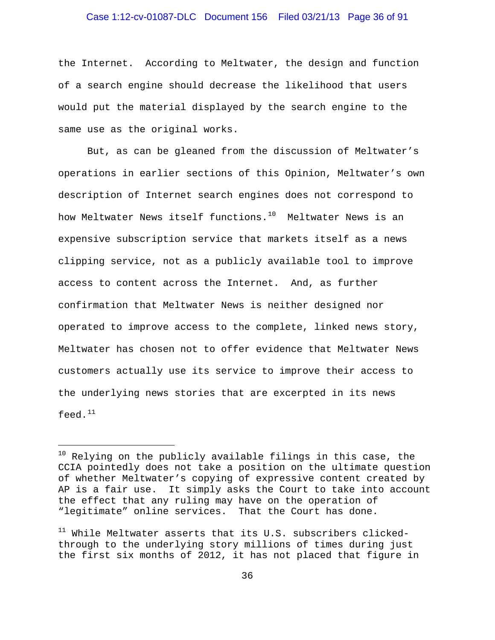### Case 1:12-cv-01087-DLC Document 156 Filed 03/21/13 Page 36 of 91

the Internet. According to Meltwater, the design and function of a search engine should decrease the likelihood that users would put the material displayed by the search engine to the same use as the original works.

But, as can be gleaned from the discussion of Meltwater's operations in earlier sections of this Opinion, Meltwater's own description of Internet search engines does not correspond to how Meltwater News itself functions.<sup>[10](#page-35-0)</sup> Meltwater News is an expensive subscription service that markets itself as a news clipping service, not as a publicly available tool to improve access to content across the Internet. And, as further confirmation that Meltwater News is neither designed nor operated to improve access to the complete, linked news story, Meltwater has chosen not to offer evidence that Meltwater News customers actually use its service to improve their access to the underlying news stories that are excerpted in its news feed.<sup>[11](#page-35-1)</sup>

÷,

<span id="page-35-0"></span> $10$  Relying on the publicly available filings in this case, the CCIA pointedly does not take a position on the ultimate question of whether Meltwater's copying of expressive content created by AP is a fair use. It simply asks the Court to take into account the effect that any ruling may have on the operation of "legitimate" online services. That the Court has done.

<span id="page-35-1"></span> $11$  While Meltwater asserts that its U.S. subscribers clickedthrough to the underlying story millions of times during just the first six months of 2012, it has not placed that figure in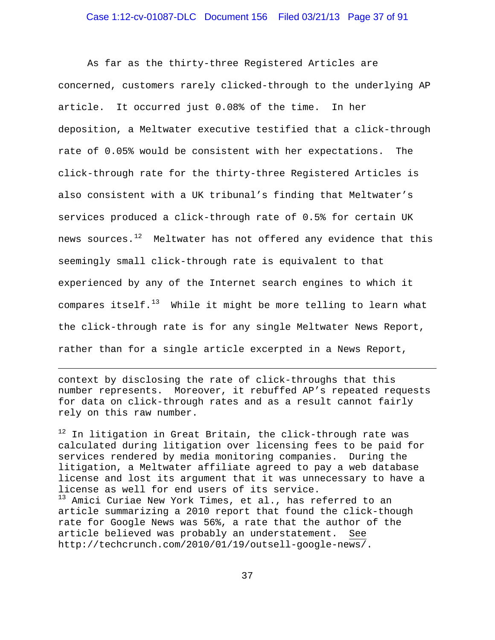### Case 1:12-cv-01087-DLC Document 156 Filed 03/21/13 Page 37 of 91

As far as the thirty-three Registered Articles are concerned, customers rarely clicked-through to the underlying AP article. It occurred just 0.08% of the time. In her deposition, a Meltwater executive testified that a click-through rate of 0.05% would be consistent with her expectations. The click-through rate for the thirty-three Registered Articles is also consistent with a UK tribunal's finding that Meltwater's services produced a click-through rate of 0.5% for certain UK news sources. $^{12}$  Meltwater has not offered any evidence that this seemingly small click-through rate is equivalent to that experienced by any of the Internet search engines to which it compares itself.<sup>[13](#page-36-1)</sup> While it might be more telling to learn what the click-through rate is for any single Meltwater News Report, rather than for a single article excerpted in a News Report,

context by disclosing the rate of click-throughs that this number represents. Moreover, it rebuffed AP's repeated requests for data on click-through rates and as a result cannot fairly rely on this raw number.

÷,

<span id="page-36-1"></span><span id="page-36-0"></span> $12$  In litigation in Great Britain, the click-through rate was calculated during litigation over licensing fees to be paid for services rendered by media monitoring companies. During the litigation, a Meltwater affiliate agreed to pay a web database license and lost its argument that it was unnecessary to have a license as well for end users of its service. 13 Amici Curiae New York Times, et al., has referred to an article summarizing a 2010 report that found the click-though rate for Google News was 56%, a rate that the author of the article believed was probably an understatement. See http://techcrunch.com/2010/01/19/outsell-google-news/.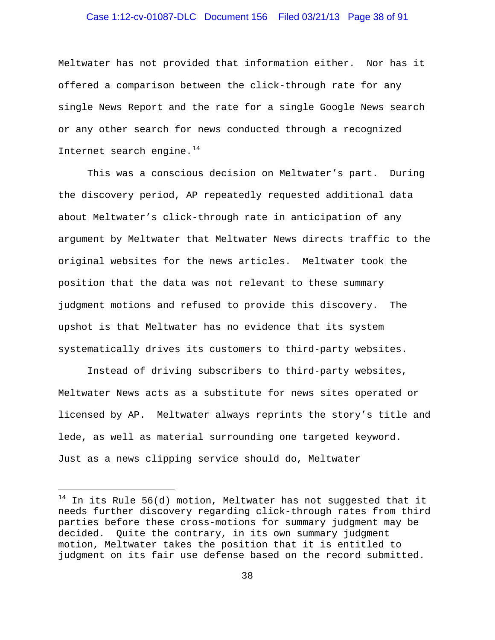### Case 1:12-cv-01087-DLC Document 156 Filed 03/21/13 Page 38 of 91

Meltwater has not provided that information either. Nor has it offered a comparison between the click-through rate for any single News Report and the rate for a single Google News search or any other search for news conducted through a recognized Internet search engine. $14$ 

This was a conscious decision on Meltwater's part. During the discovery period, AP repeatedly requested additional data about Meltwater's click-through rate in anticipation of any argument by Meltwater that Meltwater News directs traffic to the original websites for the news articles. Meltwater took the position that the data was not relevant to these summary judgment motions and refused to provide this discovery. The upshot is that Meltwater has no evidence that its system systematically drives its customers to third-party websites.

Instead of driving subscribers to third-party websites, Meltwater News acts as a substitute for news sites operated or licensed by AP. Meltwater always reprints the story's title and lede, as well as material surrounding one targeted keyword. Just as a news clipping service should do, Meltwater

÷,

<span id="page-37-0"></span> $14$  In its Rule 56(d) motion, Meltwater has not suggested that it needs further discovery regarding click-through rates from third parties before these cross-motions for summary judgment may be decided. Quite the contrary, in its own summary judgment motion, Meltwater takes the position that it is entitled to judgment on its fair use defense based on the record submitted.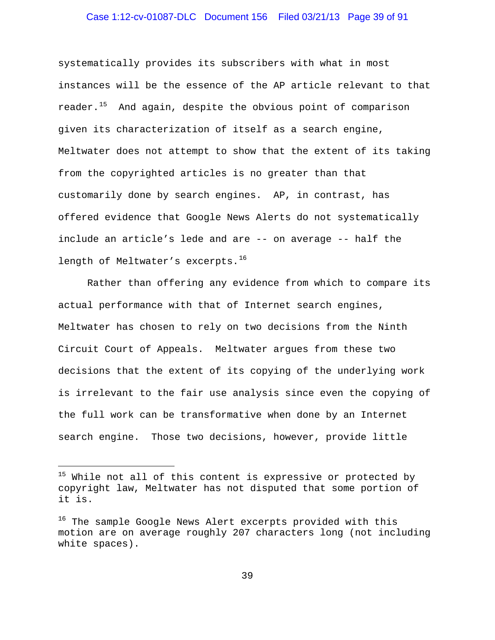### Case 1:12-cv-01087-DLC Document 156 Filed 03/21/13 Page 39 of 91

systematically provides its subscribers with what in most instances will be the essence of the AP article relevant to that reader.<sup>[15](#page-38-0)</sup> And again, despite the obvious point of comparison given its characterization of itself as a search engine, Meltwater does not attempt to show that the extent of its taking from the copyrighted articles is no greater than that customarily done by search engines. AP, in contrast, has offered evidence that Google News Alerts do not systematically include an article's lede and are -- on average -- half the length of Meltwater's excerpts.<sup>[16](#page-38-1)</sup>

Rather than offering any evidence from which to compare its actual performance with that of Internet search engines, Meltwater has chosen to rely on two decisions from the Ninth Circuit Court of Appeals. Meltwater argues from these two decisions that the extent of its copying of the underlying work is irrelevant to the fair use analysis since even the copying of the full work can be transformative when done by an Internet search engine. Those two decisions, however, provide little

÷,

<span id="page-38-0"></span> $15$  While not all of this content is expressive or protected by copyright law, Meltwater has not disputed that some portion of it is.

<span id="page-38-1"></span><sup>&</sup>lt;sup>16</sup> The sample Google News Alert excerpts provided with this motion are on average roughly 207 characters long (not including white spaces).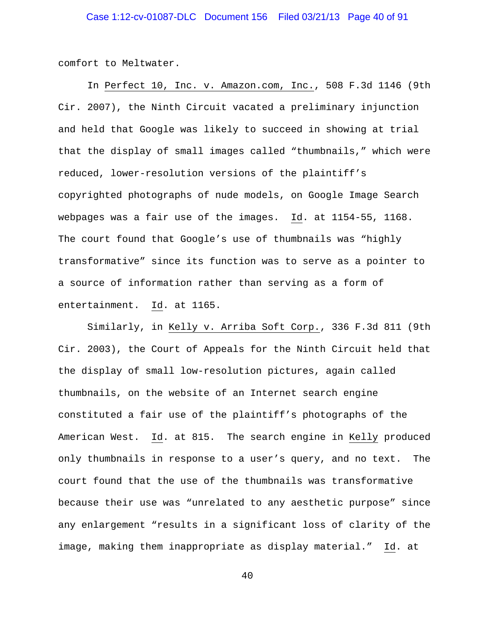comfort to Meltwater.

 In Perfect 10, Inc. v. Amazon.com, Inc., 508 F.3d 1146 (9th Cir. 2007), the Ninth Circuit vacated a preliminary injunction and held that Google was likely to succeed in showing at trial that the display of small images called "thumbnails," which were reduced, lower-resolution versions of the plaintiff's copyrighted photographs of nude models, on Google Image Search webpages was a fair use of the images. Id. at 1154-55, 1168. The court found that Google's use of thumbnails was "highly transformative" since its function was to serve as a pointer to a source of information rather than serving as a form of entertainment. Id. at 1165.

Similarly, in Kelly v. Arriba Soft Corp., 336 F.3d 811 (9th Cir. 2003), the Court of Appeals for the Ninth Circuit held that the display of small low-resolution pictures, again called thumbnails, on the website of an Internet search engine constituted a fair use of the plaintiff's photographs of the American West. Id. at 815. The search engine in Kelly produced only thumbnails in response to a user's query, and no text. The court found that the use of the thumbnails was transformative because their use was "unrelated to any aesthetic purpose" since any enlargement "results in a significant loss of clarity of the image, making them inappropriate as display material." Id. at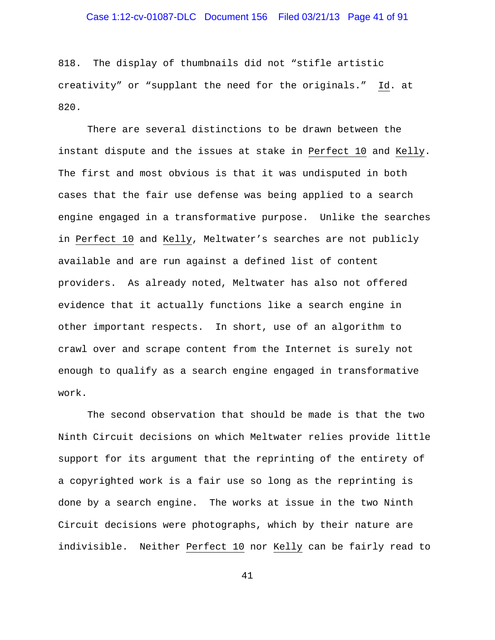### Case 1:12-cv-01087-DLC Document 156 Filed 03/21/13 Page 41 of 91

818. The display of thumbnails did not "stifle artistic creativity" or "supplant the need for the originals." Id. at 820.

There are several distinctions to be drawn between the instant dispute and the issues at stake in Perfect 10 and Kelly. The first and most obvious is that it was undisputed in both cases that the fair use defense was being applied to a search engine engaged in a transformative purpose. Unlike the searches in Perfect 10 and Kelly, Meltwater's searches are not publicly available and are run against a defined list of content providers. As already noted, Meltwater has also not offered evidence that it actually functions like a search engine in other important respects. In short, use of an algorithm to crawl over and scrape content from the Internet is surely not enough to qualify as a search engine engaged in transformative work.

The second observation that should be made is that the two Ninth Circuit decisions on which Meltwater relies provide little support for its argument that the reprinting of the entirety of a copyrighted work is a fair use so long as the reprinting is done by a search engine. The works at issue in the two Ninth Circuit decisions were photographs, which by their nature are indivisible. Neither Perfect 10 nor Kelly can be fairly read to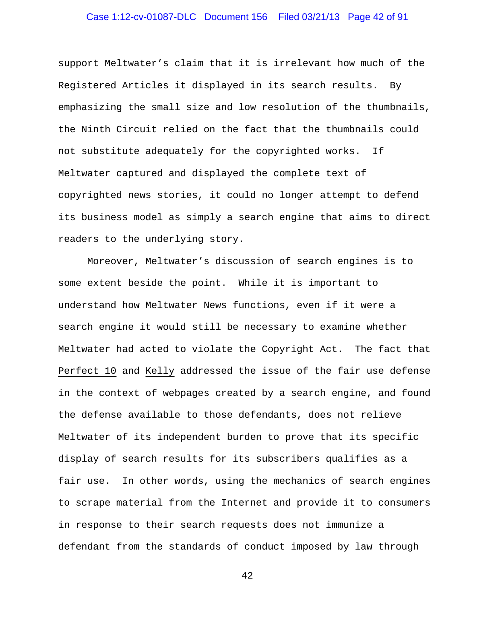# Case 1:12-cv-01087-DLC Document 156 Filed 03/21/13 Page 42 of 91

support Meltwater's claim that it is irrelevant how much of the Registered Articles it displayed in its search results. By emphasizing the small size and low resolution of the thumbnails, the Ninth Circuit relied on the fact that the thumbnails could not substitute adequately for the copyrighted works. If Meltwater captured and displayed the complete text of copyrighted news stories, it could no longer attempt to defend its business model as simply a search engine that aims to direct readers to the underlying story.

Moreover, Meltwater's discussion of search engines is to some extent beside the point. While it is important to understand how Meltwater News functions, even if it were a search engine it would still be necessary to examine whether Meltwater had acted to violate the Copyright Act. The fact that Perfect 10 and Kelly addressed the issue of the fair use defense in the context of webpages created by a search engine, and found the defense available to those defendants, does not relieve Meltwater of its independent burden to prove that its specific display of search results for its subscribers qualifies as a fair use. In other words, using the mechanics of search engines to scrape material from the Internet and provide it to consumers in response to their search requests does not immunize a defendant from the standards of conduct imposed by law through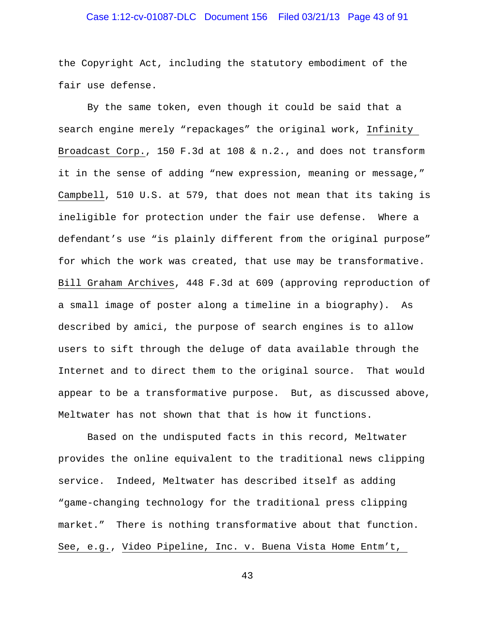# Case 1:12-cv-01087-DLC Document 156 Filed 03/21/13 Page 43 of 91

the Copyright Act, including the statutory embodiment of the fair use defense.

By the same token, even though it could be said that a search engine merely "repackages" the original work, Infinity Broadcast Corp., 150 F.3d at 108 & n.2., and does not transform it in the sense of adding "new expression, meaning or message," Campbell, 510 U.S. at 579, that does not mean that its taking is ineligible for protection under the fair use defense. Where a defendant's use "is plainly different from the original purpose" for which the work was created, that use may be transformative. Bill Graham Archives, 448 F.3d at 609 (approving reproduction of a small image of poster along a timeline in a biography). As described by amici, the purpose of search engines is to allow users to sift through the deluge of data available through the Internet and to direct them to the original source. That would appear to be a transformative purpose. But, as discussed above, Meltwater has not shown that that is how it functions.

Based on the undisputed facts in this record, Meltwater provides the online equivalent to the traditional news clipping service. Indeed, Meltwater has described itself as adding "game-changing technology for the traditional press clipping market." There is nothing transformative about that function. See, e.g., Video Pipeline, Inc. v. Buena Vista Home Entm't,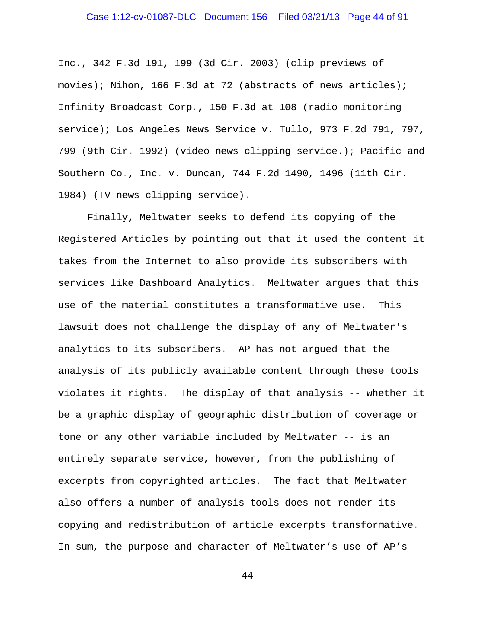### Case 1:12-cv-01087-DLC Document 156 Filed 03/21/13 Page 44 of 91

Inc., 342 F.3d 191, 199 (3d Cir. 2003) (clip previews of movies); Nihon, 166 F.3d at 72 (abstracts of news articles); Infinity Broadcast Corp., 150 F.3d at 108 (radio monitoring service); Los Angeles News Service v. Tullo, 973 F.2d 791, 797, 799 (9th Cir. 1992) (video news clipping service.); Pacific and Southern Co., Inc. v. Duncan, 744 F.2d 1490, 1496 (11th Cir. 1984) (TV news clipping service).

Finally, Meltwater seeks to defend its copying of the Registered Articles by pointing out that it used the content it takes from the Internet to also provide its subscribers with services like Dashboard Analytics. Meltwater argues that this use of the material constitutes a transformative use. This lawsuit does not challenge the display of any of Meltwater's analytics to its subscribers. AP has not argued that the analysis of its publicly available content through these tools violates it rights. The display of that analysis -- whether it be a graphic display of geographic distribution of coverage or tone or any other variable included by Meltwater -- is an entirely separate service, however, from the publishing of excerpts from copyrighted articles. The fact that Meltwater also offers a number of analysis tools does not render its copying and redistribution of article excerpts transformative. In sum, the purpose and character of Meltwater's use of AP's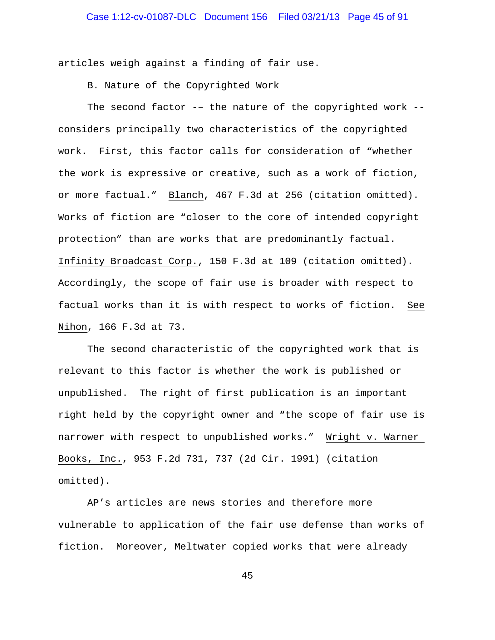articles weigh against a finding of fair use.

B. Nature of the Copyrighted Work

The second factor -– the nature of the copyrighted work - considers principally two characteristics of the copyrighted work. First, this factor calls for consideration of "whether the work is expressive or creative, such as a work of fiction, or more factual." Blanch, 467 F.3d at 256 (citation omitted). Works of fiction are "closer to the core of intended copyright protection" than are works that are predominantly factual. Infinity Broadcast Corp., 150 F.3d at 109 (citation omitted). Accordingly, the scope of fair use is broader with respect to factual works than it is with respect to works of fiction. See Nihon, 166 F.3d at 73.

The second characteristic of the copyrighted work that is relevant to this factor is whether the work is published or unpublished. The right of first publication is an important right held by the copyright owner and "the scope of fair use is narrower with respect to unpublished works." Wright v. Warner Books, Inc., 953 F.2d 731, 737 (2d Cir. 1991) (citation omitted).

AP's articles are news stories and therefore more vulnerable to application of the fair use defense than works of fiction. Moreover, Meltwater copied works that were already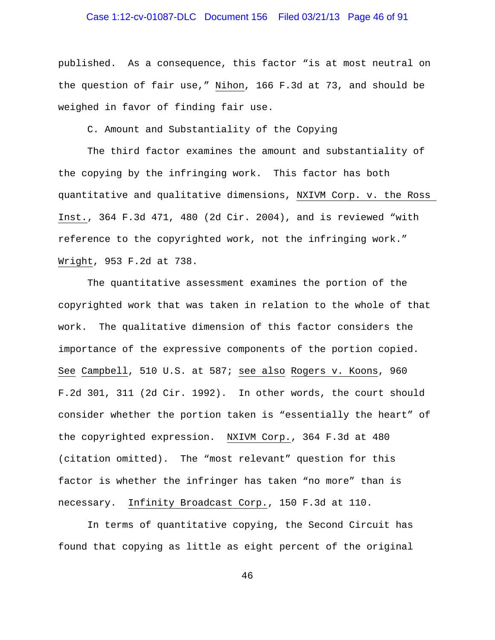### Case 1:12-cv-01087-DLC Document 156 Filed 03/21/13 Page 46 of 91

published. As a consequence, this factor "is at most neutral on the question of fair use," Nihon, 166 F.3d at 73, and should be weighed in favor of finding fair use.

C. Amount and Substantiality of the Copying

The third factor examines the amount and substantiality of the copying by the infringing work. This factor has both quantitative and qualitative dimensions, NXIVM Corp. v. the Ross Inst., 364 F.3d 471, 480 (2d Cir. 2004), and is reviewed "with reference to the copyrighted work, not the infringing work." Wright, 953 F.2d at 738.

The quantitative assessment examines the portion of the copyrighted work that was taken in relation to the whole of that work. The qualitative dimension of this factor considers the importance of the expressive components of the portion copied. See Campbell, 510 U.S. at 587; see also Rogers v. Koons, 960 F.2d 301, 311 (2d Cir. 1992). In other words, the court should consider whether the portion taken is "essentially the heart" of the copyrighted expression. NXIVM Corp., 364 F.3d at 480 (citation omitted). The "most relevant" question for this factor is whether the infringer has taken "no more" than is necessary. Infinity Broadcast Corp., 150 F.3d at 110.

In terms of quantitative copying, the Second Circuit has found that copying as little as eight percent of the original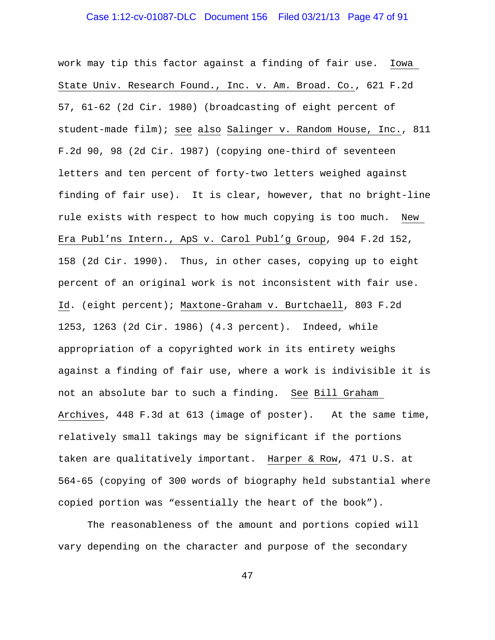### Case 1:12-cv-01087-DLC Document 156 Filed 03/21/13 Page 47 of 91

work may tip this factor against a finding of fair use. Iowa State Univ. Research Found., Inc. v. Am. Broad. Co., 621 F.2d 57, 61-62 (2d Cir. 1980) (broadcasting of eight percent of student-made film); see also Salinger v. Random House, Inc., 811 F.2d 90, 98 (2d Cir. 1987) (copying one-third of seventeen letters and ten percent of forty-two letters weighed against finding of fair use). It is clear, however, that no bright-line rule exists with respect to how much copying is too much. New Era Publ'ns Intern., ApS v. Carol Publ'g Group, 904 F.2d 152, 158 (2d Cir. 1990). Thus, in other cases, copying up to eight percent of an original work is not inconsistent with fair use. Id. (eight percent); Maxtone-Graham v. Burtchaell, 803 F.2d 1253, 1263 (2d Cir. 1986) (4.3 percent). Indeed, while appropriation of a copyrighted work in its entirety weighs against a finding of fair use, where a work is indivisible it is not an absolute bar to such a finding. See Bill Graham Archives, 448 F.3d at 613 (image of poster). At the same time, relatively small takings may be significant if the portions taken are qualitatively important. Harper & Row, 471 U.S. at 564-65 (copying of 300 words of biography held substantial where copied portion was "essentially the heart of the book").

The reasonableness of the amount and portions copied will vary depending on the character and purpose of the secondary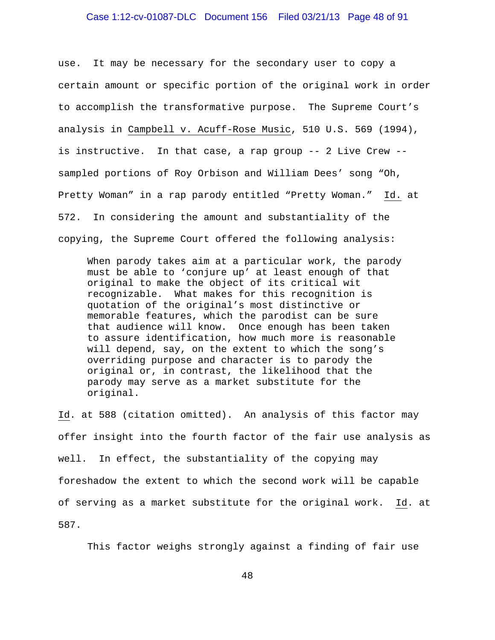### Case 1:12-cv-01087-DLC Document 156 Filed 03/21/13 Page 48 of 91

use. It may be necessary for the secondary user to copy a certain amount or specific portion of the original work in order to accomplish the transformative purpose. The Supreme Court's analysis in Campbell v. Acuff-Rose Music, 510 U.S. 569 (1994), is instructive. In that case, a rap group -- 2 Live Crew - sampled portions of Roy Orbison and William Dees' song "Oh, Pretty Woman" in a rap parody entitled "Pretty Woman." Id. at 572. In considering the amount and substantiality of the copying, the Supreme Court offered the following analysis:

When parody takes aim at a particular work, the parody must be able to 'conjure up' at least enough of that original to make the object of its critical wit recognizable. What makes for this recognition is quotation of the original's most distinctive or memorable features, which the parodist can be sure that audience will know. Once enough has been taken to assure identification, how much more is reasonable will depend, say, on the extent to which the song's overriding purpose and character is to parody the original or, in contrast, the likelihood that the parody may serve as a market substitute for the original.

Id. at 588 (citation omitted). An analysis of this factor may offer insight into the fourth factor of the fair use analysis as well. In effect, the substantiality of the copying may foreshadow the extent to which the second work will be capable of serving as a market substitute for the original work. Id. at 587.

This factor weighs strongly against a finding of fair use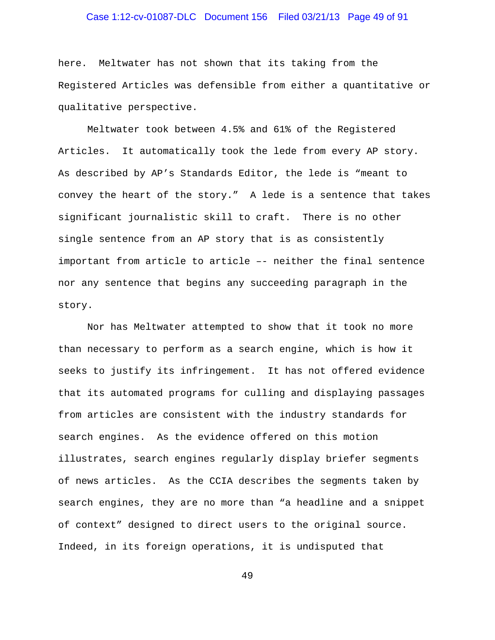### Case 1:12-cv-01087-DLC Document 156 Filed 03/21/13 Page 49 of 91

here. Meltwater has not shown that its taking from the Registered Articles was defensible from either a quantitative or qualitative perspective.

Meltwater took between 4.5% and 61% of the Registered Articles. It automatically took the lede from every AP story. As described by AP's Standards Editor, the lede is "meant to convey the heart of the story." A lede is a sentence that takes significant journalistic skill to craft. There is no other single sentence from an AP story that is as consistently important from article to article –- neither the final sentence nor any sentence that begins any succeeding paragraph in the story.

Nor has Meltwater attempted to show that it took no more than necessary to perform as a search engine, which is how it seeks to justify its infringement. It has not offered evidence that its automated programs for culling and displaying passages from articles are consistent with the industry standards for search engines. As the evidence offered on this motion illustrates, search engines regularly display briefer segments of news articles. As the CCIA describes the segments taken by search engines, they are no more than "a headline and a snippet of context" designed to direct users to the original source. Indeed, in its foreign operations, it is undisputed that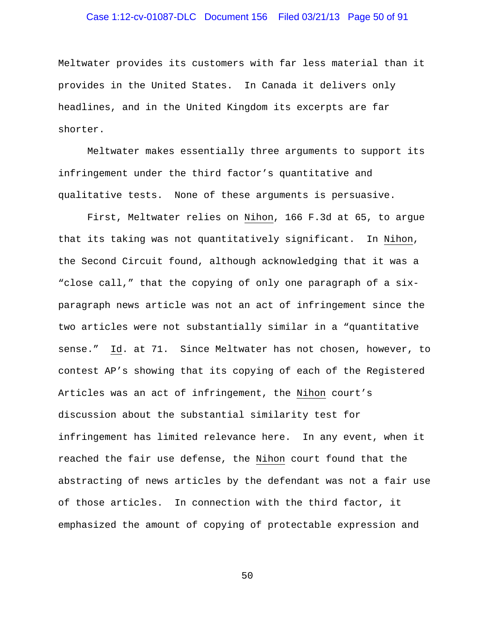### Case 1:12-cv-01087-DLC Document 156 Filed 03/21/13 Page 50 of 91

Meltwater provides its customers with far less material than it provides in the United States. In Canada it delivers only headlines, and in the United Kingdom its excerpts are far shorter.

Meltwater makes essentially three arguments to support its infringement under the third factor's quantitative and qualitative tests. None of these arguments is persuasive.

First, Meltwater relies on Nihon, 166 F.3d at 65, to argue that its taking was not quantitatively significant. In Nihon, the Second Circuit found, although acknowledging that it was a "close call," that the copying of only one paragraph of a sixparagraph news article was not an act of infringement since the two articles were not substantially similar in a "quantitative sense." Id. at 71. Since Meltwater has not chosen, however, to contest AP's showing that its copying of each of the Registered Articles was an act of infringement, the Nihon court's discussion about the substantial similarity test for infringement has limited relevance here. In any event, when it reached the fair use defense, the Nihon court found that the abstracting of news articles by the defendant was not a fair use of those articles. In connection with the third factor, it emphasized the amount of copying of protectable expression and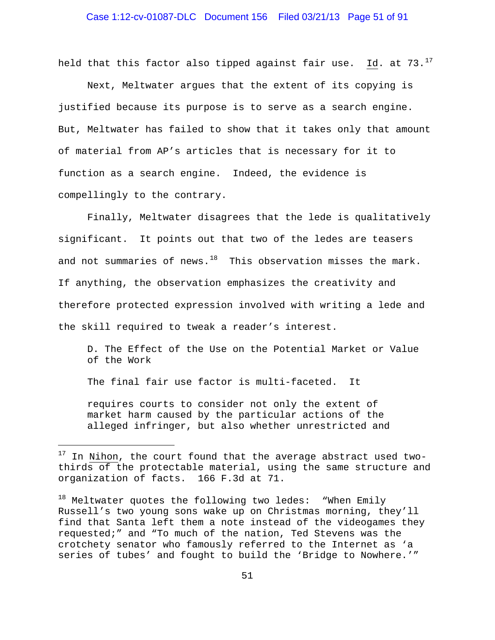held that this factor also tipped against fair use. Id. at  $73.^{17}$  $73.^{17}$  $73.^{17}$ 

Next, Meltwater argues that the extent of its copying is justified because its purpose is to serve as a search engine. But, Meltwater has failed to show that it takes only that amount of material from AP's articles that is necessary for it to function as a search engine. Indeed, the evidence is compellingly to the contrary.

Finally, Meltwater disagrees that the lede is qualitatively significant. It points out that two of the ledes are teasers and not summaries of news. $^{18}$  $^{18}$  $^{18}$  This observation misses the mark. If anything, the observation emphasizes the creativity and therefore protected expression involved with writing a lede and the skill required to tweak a reader's interest.

D. The Effect of the Use on the Potential Market or Value of the Work

The final fair use factor is multi-faceted. It

÷,

requires courts to consider not only the extent of market harm caused by the particular actions of the alleged infringer, but also whether unrestricted and

<span id="page-50-0"></span> $17$  In Nihon, the court found that the average abstract used twothirds of the protectable material, using the same structure and organization of facts. 166 F.3d at 71.

<span id="page-50-1"></span> $18$  Meltwater quotes the following two ledes: "When Emily Russell's two young sons wake up on Christmas morning, they'll find that Santa left them a note instead of the videogames they requested;" and "To much of the nation, Ted Stevens was the crotchety senator who famously referred to the Internet as 'a series of tubes' and fought to build the 'Bridge to Nowhere.'"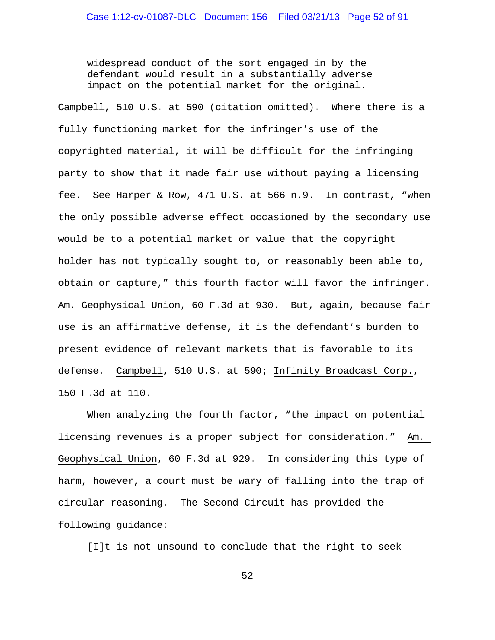widespread conduct of the sort engaged in by the defendant would result in a substantially adverse impact on the potential market for the original.

Campbell, 510 U.S. at 590 (citation omitted). Where there is a fully functioning market for the infringer's use of the copyrighted material, it will be difficult for the infringing party to show that it made fair use without paying a licensing fee. See Harper & Row, 471 U.S. at 566 n.9. In contrast, "when the only possible adverse effect occasioned by the secondary use would be to a potential market or value that the copyright holder has not typically sought to, or reasonably been able to, obtain or capture," this fourth factor will favor the infringer. Am. Geophysical Union, 60 F.3d at 930. But, again, because fair use is an affirmative defense, it is the defendant's burden to present evidence of relevant markets that is favorable to its defense. Campbell, 510 U.S. at 590; Infinity Broadcast Corp., 150 F.3d at 110.

When analyzing the fourth factor, "the impact on potential licensing revenues is a proper subject for consideration." Am. Geophysical Union, 60 F.3d at 929. In considering this type of harm, however, a court must be wary of falling into the trap of circular reasoning. The Second Circuit has provided the following guidance:

[I]t is not unsound to conclude that the right to seek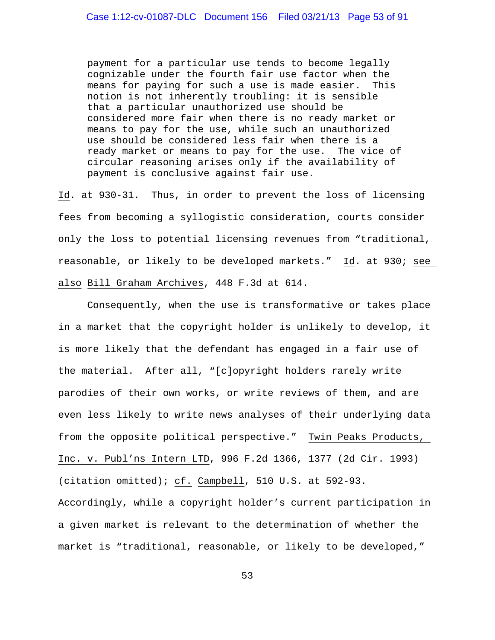payment for a particular use tends to become legally cognizable under the fourth fair use factor when the means for paying for such a use is made easier. This notion is not inherently troubling: it is sensible that a particular unauthorized use should be considered more fair when there is no ready market or means to pay for the use, while such an unauthorized use should be considered less fair when there is a ready market or means to pay for the use. The vice of circular reasoning arises only if the availability of payment is conclusive against fair use.

Id. at 930-31. Thus, in order to prevent the loss of licensing fees from becoming a syllogistic consideration, courts consider only the loss to potential licensing revenues from "traditional, reasonable, or likely to be developed markets." Id. at 930; see also Bill Graham Archives, 448 F.3d at 614.

Consequently, when the use is transformative or takes place in a market that the copyright holder is unlikely to develop, it is more likely that the defendant has engaged in a fair use of the material. After all, "[c]opyright holders rarely write parodies of their own works, or write reviews of them, and are even less likely to write news analyses of their underlying data from the opposite political perspective." Twin Peaks Products, Inc. v. Publ'ns Intern LTD, 996 F.2d 1366, 1377 (2d Cir. 1993) (citation omitted); cf. Campbell, 510 U.S. at 592-93. Accordingly, while a copyright holder's current participation in a given market is relevant to the determination of whether the market is "traditional, reasonable, or likely to be developed,"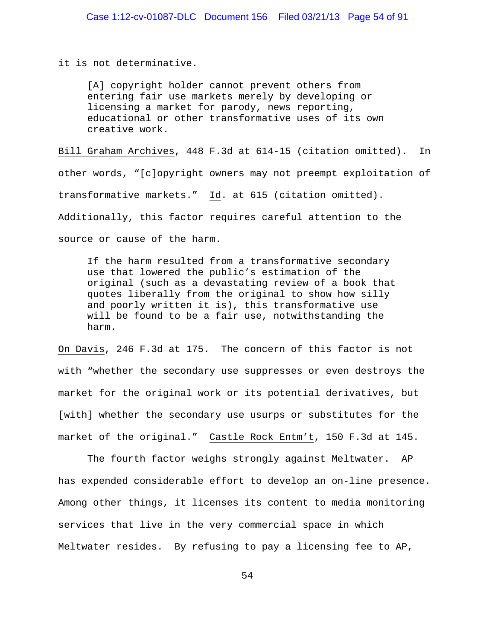it is not determinative.

[A] copyright holder cannot prevent others from entering fair use markets merely by developing or licensing a market for parody, news reporting, educational or other transformative uses of its own creative work.

Bill Graham Archives, 448 F.3d at 614-15 (citation omitted). In other words, "[c]opyright owners may not preempt exploitation of transformative markets." Id. at 615 (citation omitted). Additionally, this factor requires careful attention to the source or cause of the harm.

If the harm resulted from a transformative secondary use that lowered the public's estimation of the original (such as a devastating review of a book that quotes liberally from the original to show how silly and poorly written it is), this transformative use will be found to be a fair use, notwithstanding the harm.

On Davis, 246 F.3d at 175. The concern of this factor is not with "whether the secondary use suppresses or even destroys the market for the original work or its potential derivatives, but [with] whether the secondary use usurps or substitutes for the market of the original." Castle Rock Entm't, 150 F.3d at 145.

The fourth factor weighs strongly against Meltwater. AP has expended considerable effort to develop an on-line presence. Among other things, it licenses its content to media monitoring services that live in the very commercial space in which Meltwater resides. By refusing to pay a licensing fee to AP,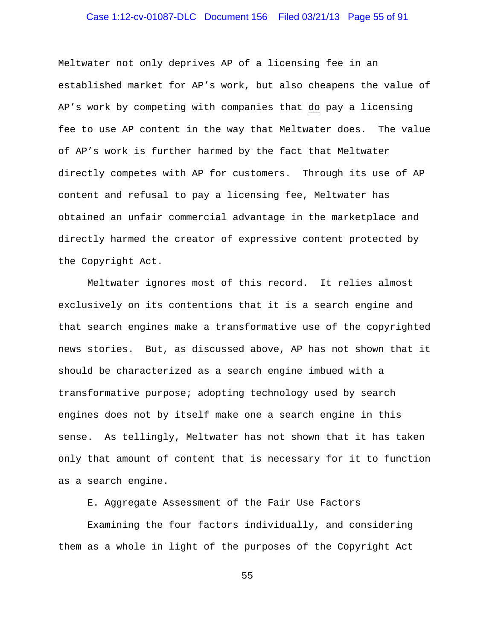### Case 1:12-cv-01087-DLC Document 156 Filed 03/21/13 Page 55 of 91

Meltwater not only deprives AP of a licensing fee in an established market for AP's work, but also cheapens the value of AP's work by competing with companies that do pay a licensing fee to use AP content in the way that Meltwater does. The value of AP's work is further harmed by the fact that Meltwater directly competes with AP for customers. Through its use of AP content and refusal to pay a licensing fee, Meltwater has obtained an unfair commercial advantage in the marketplace and directly harmed the creator of expressive content protected by the Copyright Act.

Meltwater ignores most of this record. It relies almost exclusively on its contentions that it is a search engine and that search engines make a transformative use of the copyrighted news stories. But, as discussed above, AP has not shown that it should be characterized as a search engine imbued with a transformative purpose; adopting technology used by search engines does not by itself make one a search engine in this sense. As tellingly, Meltwater has not shown that it has taken only that amount of content that is necessary for it to function as a search engine.

E. Aggregate Assessment of the Fair Use Factors

Examining the four factors individually, and considering them as a whole in light of the purposes of the Copyright Act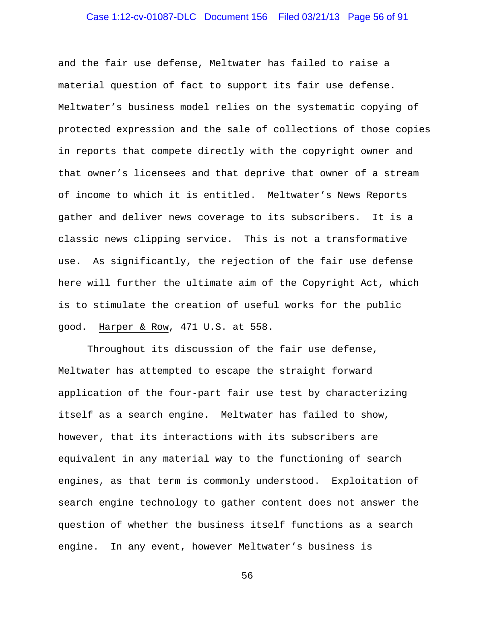# Case 1:12-cv-01087-DLC Document 156 Filed 03/21/13 Page 56 of 91

and the fair use defense, Meltwater has failed to raise a material question of fact to support its fair use defense. Meltwater's business model relies on the systematic copying of protected expression and the sale of collections of those copies in reports that compete directly with the copyright owner and that owner's licensees and that deprive that owner of a stream of income to which it is entitled. Meltwater's News Reports gather and deliver news coverage to its subscribers. It is a classic news clipping service. This is not a transformative use. As significantly, the rejection of the fair use defense here will further the ultimate aim of the Copyright Act, which is to stimulate the creation of useful works for the public good. Harper & Row, 471 U.S. at 558.

Throughout its discussion of the fair use defense, Meltwater has attempted to escape the straight forward application of the four-part fair use test by characterizing itself as a search engine. Meltwater has failed to show, however, that its interactions with its subscribers are equivalent in any material way to the functioning of search engines, as that term is commonly understood. Exploitation of search engine technology to gather content does not answer the question of whether the business itself functions as a search engine. In any event, however Meltwater's business is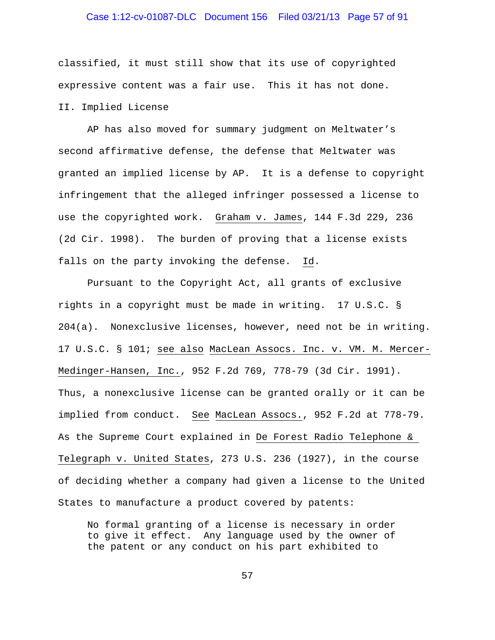### Case 1:12-cv-01087-DLC Document 156 Filed 03/21/13 Page 57 of 91

classified, it must still show that its use of copyrighted expressive content was a fair use. This it has not done. II. Implied License

AP has also moved for summary judgment on Meltwater's second affirmative defense, the defense that Meltwater was granted an implied license by AP. It is a defense to copyright infringement that the alleged infringer possessed a license to use the copyrighted work. Graham v. James, 144 F.3d 229, 236 (2d Cir. 1998). The burden of proving that a license exists falls on the party invoking the defense. Id.

Pursuant to the Copyright Act, all grants of exclusive rights in a copyright must be made in writing. 17 U.S.C. § 204(a). Nonexclusive licenses, however, need not be in writing. 17 U.S.C. § 101; see also MacLean Assocs. Inc. v. VM. M. Mercer-Medinger-Hansen, Inc., 952 F.2d 769, 778-79 (3d Cir. 1991). Thus, a nonexclusive license can be granted orally or it can be implied from conduct. See MacLean Assocs., 952 F.2d at 778-79. As the Supreme Court explained in De Forest Radio Telephone & Telegraph v. United States, 273 U.S. 236 (1927), in the course of deciding whether a company had given a license to the United States to manufacture a product covered by patents:

No formal granting of a license is necessary in order to give it effect. Any language used by the owner of the patent or any conduct on his part exhibited to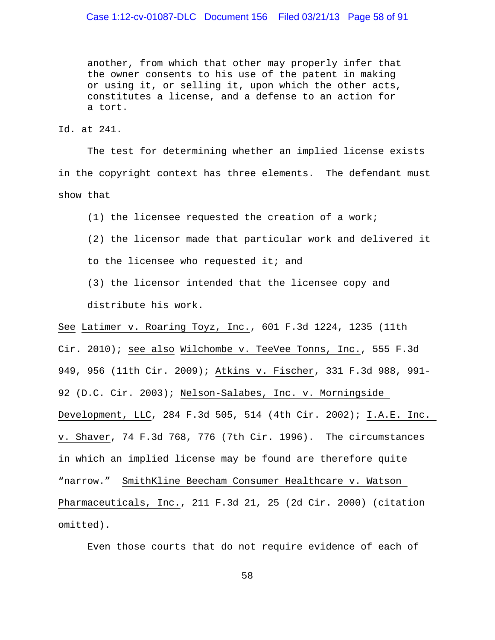### Case 1:12-cv-01087-DLC Document 156 Filed 03/21/13 Page 58 of 91

another, from which that other may properly infer that the owner consents to his use of the patent in making or using it, or selling it, upon which the other acts, constitutes a license, and a defense to an action for a tort.

Id. at 241.

The test for determining whether an implied license exists in the copyright context has three elements. The defendant must show that

(1) the licensee requested the creation of a work;

(2) the licensor made that particular work and delivered it to the licensee who requested it; and

(3) the licensor intended that the licensee copy and distribute his work.

See Latimer v. Roaring Toyz, Inc., 601 F.3d 1224, 1235 (11th Cir. 2010); see also Wilchombe v. TeeVee Tonns, Inc., 555 F.3d 949, 956 (11th Cir. 2009); Atkins v. Fischer, 331 F.3d 988, 991- 92 (D.C. Cir. 2003); Nelson-Salabes, Inc. v. Morningside Development, LLC, 284 F.3d 505, 514 (4th Cir. 2002); I.A.E. Inc. v. Shaver, 74 F.3d 768, 776 (7th Cir. 1996). The circumstances in which an implied license may be found are therefore quite "narrow." SmithKline Beecham Consumer Healthcare v. Watson Pharmaceuticals, Inc., 211 F.3d 21, 25 (2d Cir. 2000) (citation omitted).

Even those courts that do not require evidence of each of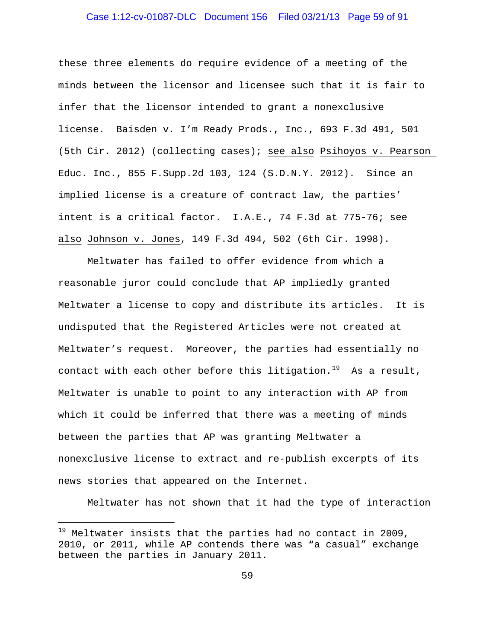### Case 1:12-cv-01087-DLC Document 156 Filed 03/21/13 Page 59 of 91

these three elements do require evidence of a meeting of the minds between the licensor and licensee such that it is fair to infer that the licensor intended to grant a nonexclusive license. Baisden v. I'm Ready Prods., Inc., 693 F.3d 491, 501 (5th Cir. 2012) (collecting cases); see also Psihoyos v. Pearson Educ. Inc., 855 F.Supp.2d 103, 124 (S.D.N.Y. 2012). Since an implied license is a creature of contract law, the parties' intent is a critical factor. I.A.E., 74 F.3d at 775-76; see also Johnson v. Jones, 149 F.3d 494, 502 (6th Cir. 1998).

Meltwater has failed to offer evidence from which a reasonable juror could conclude that AP impliedly granted Meltwater a license to copy and distribute its articles. It is undisputed that the Registered Articles were not created at Meltwater's request. Moreover, the parties had essentially no contact with each other before this litigation. $^{19}$  $^{19}$  $^{19}$  As a result, Meltwater is unable to point to any interaction with AP from which it could be inferred that there was a meeting of minds between the parties that AP was granting Meltwater a nonexclusive license to extract and re-publish excerpts of its news stories that appeared on the Internet.

Meltwater has not shown that it had the type of interaction

÷,

<span id="page-58-0"></span> $19$  Meltwater insists that the parties had no contact in 2009, 2010, or 2011, while AP contends there was "a casual" exchange between the parties in January 2011.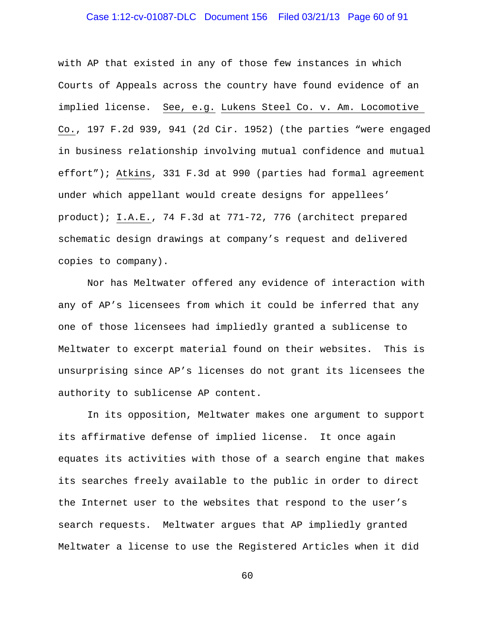### Case 1:12-cv-01087-DLC Document 156 Filed 03/21/13 Page 60 of 91

with AP that existed in any of those few instances in which Courts of Appeals across the country have found evidence of an implied license. See, e.g. Lukens Steel Co. v. Am. Locomotive Co., 197 F.2d 939, 941 (2d Cir. 1952) (the parties "were engaged in business relationship involving mutual confidence and mutual effort"); Atkins, 331 F.3d at 990 (parties had formal agreement under which appellant would create designs for appellees' product); I.A.E., 74 F.3d at 771-72, 776 (architect prepared schematic design drawings at company's request and delivered copies to company).

Nor has Meltwater offered any evidence of interaction with any of AP's licensees from which it could be inferred that any one of those licensees had impliedly granted a sublicense to Meltwater to excerpt material found on their websites. This is unsurprising since AP's licenses do not grant its licensees the authority to sublicense AP content.

In its opposition, Meltwater makes one argument to support its affirmative defense of implied license. It once again equates its activities with those of a search engine that makes its searches freely available to the public in order to direct the Internet user to the websites that respond to the user's search requests. Meltwater argues that AP impliedly granted Meltwater a license to use the Registered Articles when it did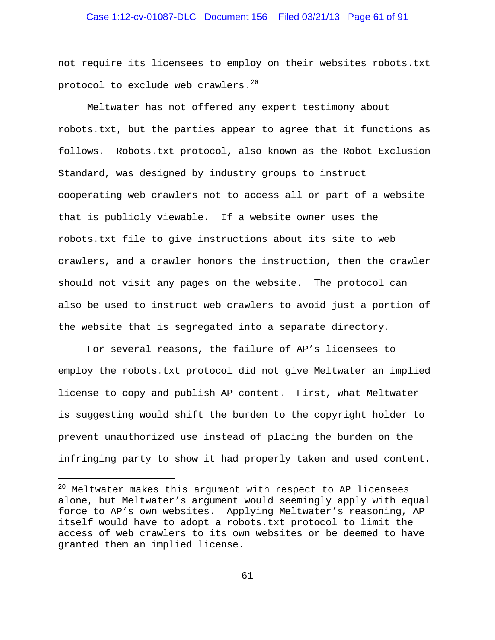### Case 1:12-cv-01087-DLC Document 156 Filed 03/21/13 Page 61 of 91

not require its licensees to employ on their websites robots.txt protocol to exclude web crawlers. $^{20}$  $^{20}$  $^{20}$ 

Meltwater has not offered any expert testimony about robots.txt, but the parties appear to agree that it functions as follows. Robots.txt protocol, also known as the Robot Exclusion Standard, was designed by industry groups to instruct cooperating web crawlers not to access all or part of a website that is publicly viewable. If a website owner uses the robots.txt file to give instructions about its site to web crawlers, and a crawler honors the instruction, then the crawler should not visit any pages on the website. The protocol can also be used to instruct web crawlers to avoid just a portion of the website that is segregated into a separate directory.

For several reasons, the failure of AP's licensees to employ the robots.txt protocol did not give Meltwater an implied license to copy and publish AP content. First, what Meltwater is suggesting would shift the burden to the copyright holder to prevent unauthorized use instead of placing the burden on the infringing party to show it had properly taken and used content.

÷,

<span id="page-60-0"></span> $20$  Meltwater makes this argument with respect to AP licensees alone, but Meltwater's argument would seemingly apply with equal force to AP's own websites. Applying Meltwater's reasoning, AP itself would have to adopt a robots.txt protocol to limit the access of web crawlers to its own websites or be deemed to have granted them an implied license.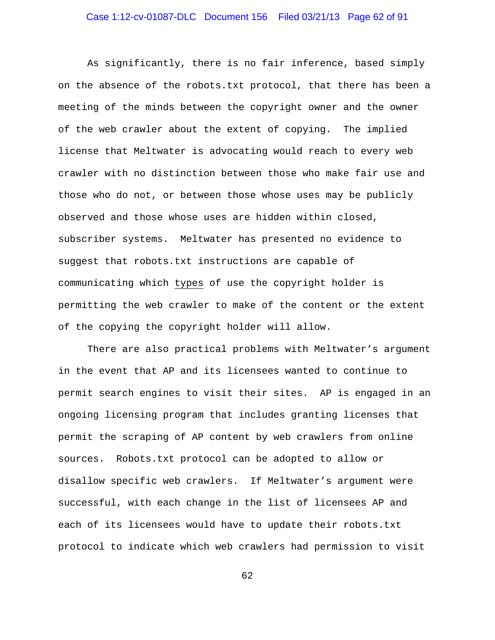# Case 1:12-cv-01087-DLC Document 156 Filed 03/21/13 Page 62 of 91

As significantly, there is no fair inference, based simply on the absence of the robots.txt protocol, that there has been a meeting of the minds between the copyright owner and the owner of the web crawler about the extent of copying. The implied license that Meltwater is advocating would reach to every web crawler with no distinction between those who make fair use and those who do not, or between those whose uses may be publicly observed and those whose uses are hidden within closed, subscriber systems. Meltwater has presented no evidence to suggest that robots.txt instructions are capable of communicating which types of use the copyright holder is permitting the web crawler to make of the content or the extent of the copying the copyright holder will allow.

There are also practical problems with Meltwater's argument in the event that AP and its licensees wanted to continue to permit search engines to visit their sites. AP is engaged in an ongoing licensing program that includes granting licenses that permit the scraping of AP content by web crawlers from online sources. Robots.txt protocol can be adopted to allow or disallow specific web crawlers. If Meltwater's argument were successful, with each change in the list of licensees AP and each of its licensees would have to update their robots.txt protocol to indicate which web crawlers had permission to visit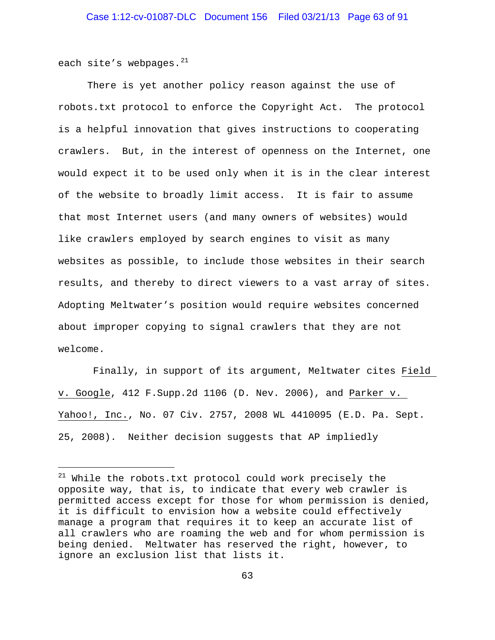each site's webpages. $^{21}$  $^{21}$  $^{21}$ 

i<br>I

There is yet another policy reason against the use of robots.txt protocol to enforce the Copyright Act. The protocol is a helpful innovation that gives instructions to cooperating crawlers. But, in the interest of openness on the Internet, one would expect it to be used only when it is in the clear interest of the website to broadly limit access. It is fair to assume that most Internet users (and many owners of websites) would like crawlers employed by search engines to visit as many websites as possible, to include those websites in their search results, and thereby to direct viewers to a vast array of sites. Adopting Meltwater's position would require websites concerned about improper copying to signal crawlers that they are not welcome.

Finally, in support of its argument, Meltwater cites Field v. Google, 412 F.Supp.2d 1106 (D. Nev. 2006), and Parker v. Yahoo!, Inc., No. 07 Civ. 2757, 2008 WL 4410095 (E.D. Pa. Sept. 25, 2008). Neither decision suggests that AP impliedly

<span id="page-62-0"></span><sup>&</sup>lt;sup>21</sup> While the robots.txt protocol could work precisely the opposite way, that is, to indicate that every web crawler is permitted access except for those for whom permission is denied, it is difficult to envision how a website could effectively manage a program that requires it to keep an accurate list of all crawlers who are roaming the web and for whom permission is being denied. Meltwater has reserved the right, however, to ignore an exclusion list that lists it.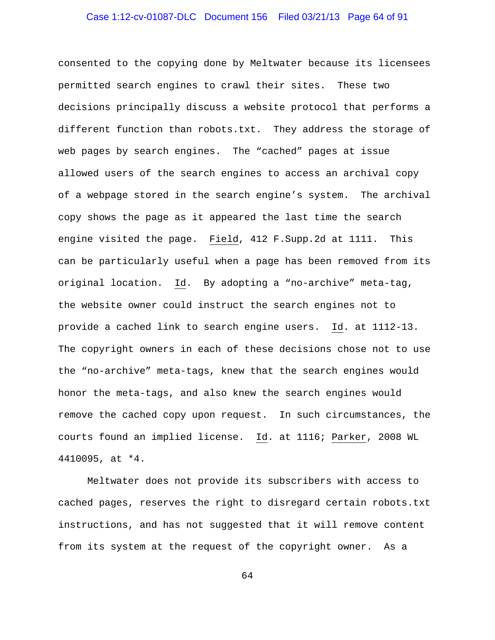# Case 1:12-cv-01087-DLC Document 156 Filed 03/21/13 Page 64 of 91

consented to the copying done by Meltwater because its licensees permitted search engines to crawl their sites. These two decisions principally discuss a website protocol that performs a different function than robots.txt. They address the storage of web pages by search engines. The "cached" pages at issue allowed users of the search engines to access an archival copy of a webpage stored in the search engine's system. The archival copy shows the page as it appeared the last time the search engine visited the page. Field, 412 F.Supp.2d at 1111. This can be particularly useful when a page has been removed from its original location. Id. By adopting a "no-archive" meta-tag, the website owner could instruct the search engines not to provide a cached link to search engine users. Id. at 1112-13. The copyright owners in each of these decisions chose not to use the "no-archive" meta-tags, knew that the search engines would honor the meta-tags, and also knew the search engines would remove the cached copy upon request. In such circumstances, the courts found an implied license. Id. at 1116; Parker, 2008 WL 4410095, at \*4.

Meltwater does not provide its subscribers with access to cached pages, reserves the right to disregard certain robots.txt instructions, and has not suggested that it will remove content from its system at the request of the copyright owner. As a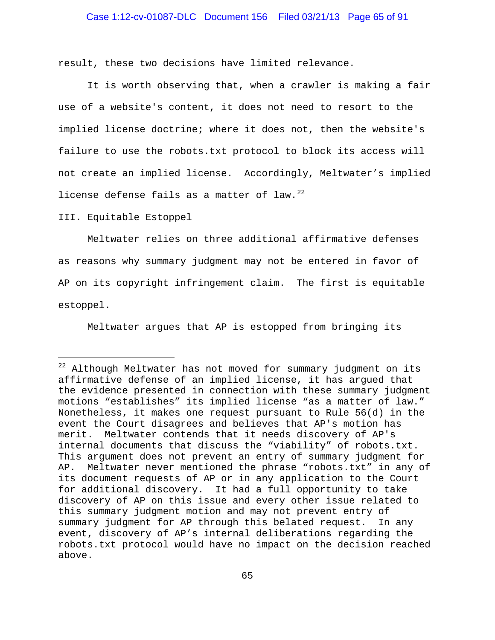### Case 1:12-cv-01087-DLC Document 156 Filed 03/21/13 Page 65 of 91

result, these two decisions have limited relevance.

It is worth observing that, when a crawler is making a fair use of a website's content, it does not need to resort to the implied license doctrine; where it does not, then the website's failure to use the robots.txt protocol to block its access will not create an implied license. Accordingly, Meltwater's implied license defense fails as a matter of law. $^{22}$  $^{22}$  $^{22}$ 

III. Equitable Estoppel

÷,

Meltwater relies on three additional affirmative defenses as reasons why summary judgment may not be entered in favor of AP on its copyright infringement claim. The first is equitable estoppel.

Meltwater argues that AP is estopped from bringing its

<span id="page-64-0"></span> $22$  Although Meltwater has not moved for summary judgment on its affirmative defense of an implied license, it has argued that the evidence presented in connection with these summary judgment motions "establishes" its implied license "as a matter of law." Nonetheless, it makes one request pursuant to Rule 56(d) in the event the Court disagrees and believes that AP's motion has merit. Meltwater contends that it needs discovery of AP's internal documents that discuss the "viability" of robots.txt. This argument does not prevent an entry of summary judgment for AP. Meltwater never mentioned the phrase "robots.txt" in any of its document requests of AP or in any application to the Court for additional discovery. It had a full opportunity to take discovery of AP on this issue and every other issue related to this summary judgment motion and may not prevent entry of summary judgment for AP through this belated request. In any event, discovery of AP's internal deliberations regarding the robots.txt protocol would have no impact on the decision reached above.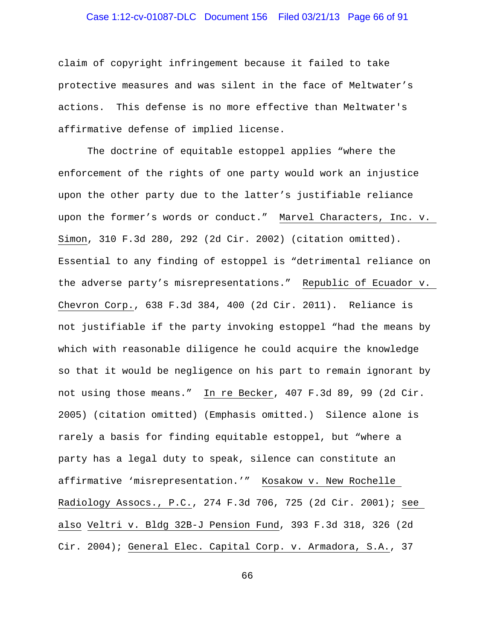### Case 1:12-cv-01087-DLC Document 156 Filed 03/21/13 Page 66 of 91

claim of copyright infringement because it failed to take protective measures and was silent in the face of Meltwater's actions. This defense is no more effective than Meltwater's affirmative defense of implied license.

The doctrine of equitable estoppel applies "where the enforcement of the rights of one party would work an injustice upon the other party due to the latter's justifiable reliance upon the former's words or conduct." Marvel Characters, Inc. v. Simon, 310 F.3d 280, 292 (2d Cir. 2002) (citation omitted). Essential to any finding of estoppel is "detrimental reliance on the adverse party's misrepresentations." Republic of Ecuador v. Chevron Corp., 638 F.3d 384, 400 (2d Cir. 2011). Reliance is not justifiable if the party invoking estoppel "had the means by which with reasonable diligence he could acquire the knowledge so that it would be negligence on his part to remain ignorant by not using those means." In re Becker, 407 F.3d 89, 99 (2d Cir. 2005) (citation omitted) (Emphasis omitted.) Silence alone is rarely a basis for finding equitable estoppel, but "where a party has a legal duty to speak, silence can constitute an affirmative 'misrepresentation.'" Kosakow v. New Rochelle Radiology Assocs., P.C., 274 F.3d 706, 725 (2d Cir. 2001); see also Veltri v. Bldg 32B-J Pension Fund, 393 F.3d 318, 326 (2d Cir. 2004); General Elec. Capital Corp. v. Armadora, S.A., 37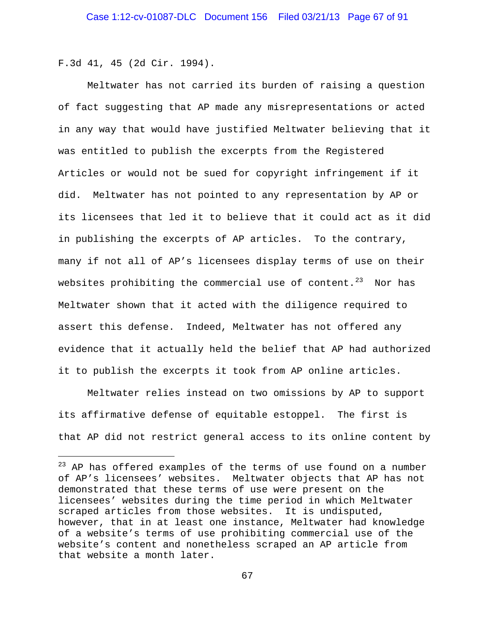F.3d 41, 45 (2d Cir. 1994).

÷,

Meltwater has not carried its burden of raising a question of fact suggesting that AP made any misrepresentations or acted in any way that would have justified Meltwater believing that it was entitled to publish the excerpts from the Registered Articles or would not be sued for copyright infringement if it did. Meltwater has not pointed to any representation by AP or its licensees that led it to believe that it could act as it did in publishing the excerpts of AP articles. To the contrary, many if not all of AP's licensees display terms of use on their websites prohibiting the commercial use of content.<sup>[23](#page-66-0)</sup> Nor has Meltwater shown that it acted with the diligence required to assert this defense. Indeed, Meltwater has not offered any evidence that it actually held the belief that AP had authorized it to publish the excerpts it took from AP online articles.

Meltwater relies instead on two omissions by AP to support its affirmative defense of equitable estoppel. The first is that AP did not restrict general access to its online content by

<span id="page-66-0"></span> $^{23}$  AP has offered examples of the terms of use found on a number of AP's licensees' websites. Meltwater objects that AP has not demonstrated that these terms of use were present on the licensees' websites during the time period in which Meltwater scraped articles from those websites. It is undisputed, however, that in at least one instance, Meltwater had knowledge of a website's terms of use prohibiting commercial use of the website's content and nonetheless scraped an AP article from that website a month later.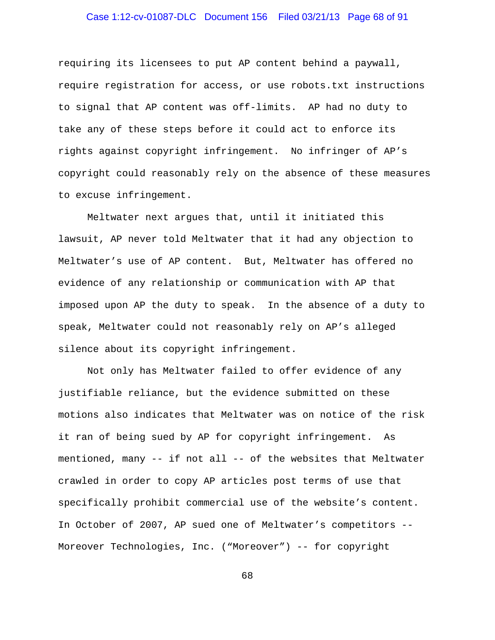# Case 1:12-cv-01087-DLC Document 156 Filed 03/21/13 Page 68 of 91

requiring its licensees to put AP content behind a paywall, require registration for access, or use robots.txt instructions to signal that AP content was off-limits. AP had no duty to take any of these steps before it could act to enforce its rights against copyright infringement. No infringer of AP's copyright could reasonably rely on the absence of these measures to excuse infringement.

Meltwater next argues that, until it initiated this lawsuit, AP never told Meltwater that it had any objection to Meltwater's use of AP content. But, Meltwater has offered no evidence of any relationship or communication with AP that imposed upon AP the duty to speak. In the absence of a duty to speak, Meltwater could not reasonably rely on AP's alleged silence about its copyright infringement.

Not only has Meltwater failed to offer evidence of any justifiable reliance, but the evidence submitted on these motions also indicates that Meltwater was on notice of the risk it ran of being sued by AP for copyright infringement. As mentioned, many -- if not all -- of the websites that Meltwater crawled in order to copy AP articles post terms of use that specifically prohibit commercial use of the website's content. In October of 2007, AP sued one of Meltwater's competitors -- Moreover Technologies, Inc. ("Moreover") -- for copyright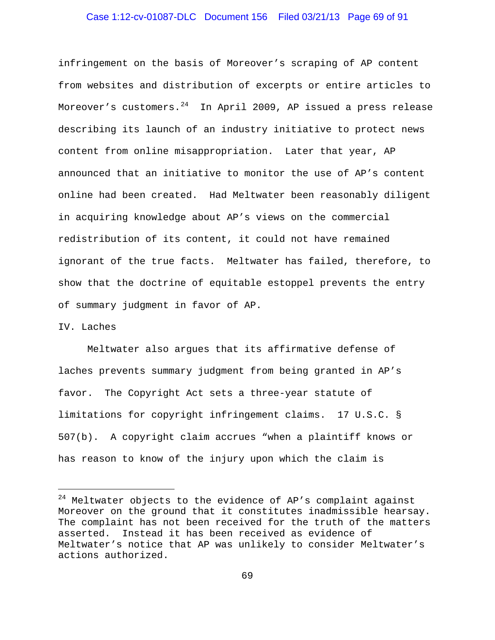### Case 1:12-cv-01087-DLC Document 156 Filed 03/21/13 Page 69 of 91

infringement on the basis of Moreover's scraping of AP content from websites and distribution of excerpts or entire articles to Moreover's customers. $^{24}$  $^{24}$  $^{24}$  In April 2009, AP issued a press release describing its launch of an industry initiative to protect news content from online misappropriation. Later that year, AP announced that an initiative to monitor the use of AP's content online had been created. Had Meltwater been reasonably diligent in acquiring knowledge about AP's views on the commercial redistribution of its content, it could not have remained ignorant of the true facts. Meltwater has failed, therefore, to show that the doctrine of equitable estoppel prevents the entry of summary judgment in favor of AP.

#### IV. Laches

÷,

Meltwater also argues that its affirmative defense of laches prevents summary judgment from being granted in AP's favor. The Copyright Act sets a three-year statute of limitations for copyright infringement claims. 17 U.S.C. § 507(b). A copyright claim accrues "when a plaintiff knows or has reason to know of the injury upon which the claim is

<span id="page-68-0"></span> $24$  Meltwater objects to the evidence of AP's complaint against Moreover on the ground that it constitutes inadmissible hearsay. The complaint has not been received for the truth of the matters asserted. Instead it has been received as evidence of Meltwater's notice that AP was unlikely to consider Meltwater's actions authorized.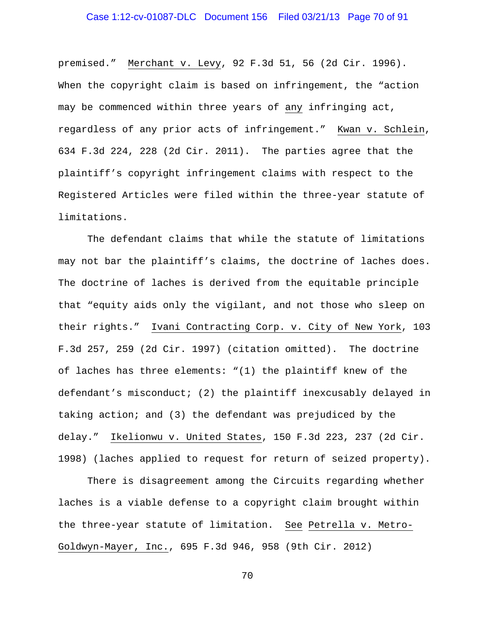# Case 1:12-cv-01087-DLC Document 156 Filed 03/21/13 Page 70 of 91

premised." Merchant v. Levy, 92 F.3d 51, 56 (2d Cir. 1996). When the copyright claim is based on infringement, the "action may be commenced within three years of any infringing act, regardless of any prior acts of infringement." Kwan v. Schlein, 634 F.3d 224, 228 (2d Cir. 2011). The parties agree that the plaintiff's copyright infringement claims with respect to the Registered Articles were filed within the three-year statute of limitations.

The defendant claims that while the statute of limitations may not bar the plaintiff's claims, the doctrine of laches does. The doctrine of laches is derived from the equitable principle that "equity aids only the vigilant, and not those who sleep on their rights." Ivani Contracting Corp. v. City of New York, 103 F.3d 257, 259 (2d Cir. 1997) (citation omitted). The doctrine of laches has three elements: "(1) the plaintiff knew of the defendant's misconduct; (2) the plaintiff inexcusably delayed in taking action; and (3) the defendant was prejudiced by the delay." Ikelionwu v. United States, 150 F.3d 223, 237 (2d Cir. 1998) (laches applied to request for return of seized property).

There is disagreement among the Circuits regarding whether laches is a viable defense to a copyright claim brought within the three-year statute of limitation. See Petrella v. Metro-Goldwyn-Mayer, Inc., 695 F.3d 946, 958 (9th Cir. 2012)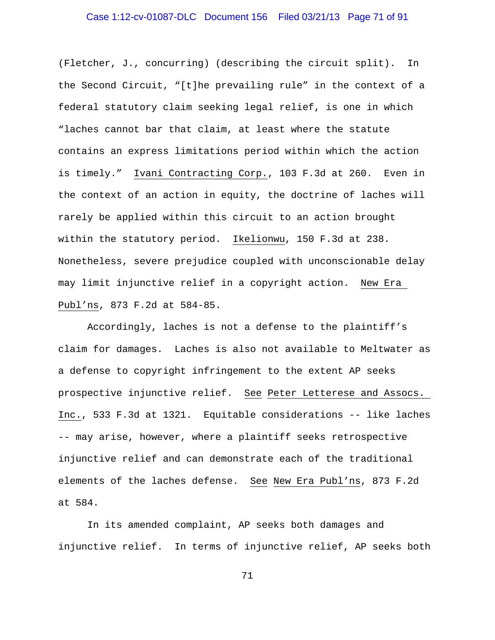# Case 1:12-cv-01087-DLC Document 156 Filed 03/21/13 Page 71 of 91

(Fletcher, J., concurring) (describing the circuit split). In the Second Circuit, "[t]he prevailing rule" in the context of a federal statutory claim seeking legal relief, is one in which "laches cannot bar that claim, at least where the statute contains an express limitations period within which the action is timely." Ivani Contracting Corp., 103 F.3d at 260. Even in the context of an action in equity, the doctrine of laches will rarely be applied within this circuit to an action brought within the statutory period. Ikelionwu, 150 F.3d at 238. Nonetheless, severe prejudice coupled with unconscionable delay may limit injunctive relief in a copyright action. New Era Publ'ns, 873 F.2d at 584-85.

Accordingly, laches is not a defense to the plaintiff's claim for damages. Laches is also not available to Meltwater as a defense to copyright infringement to the extent AP seeks prospective injunctive relief. See Peter Letterese and Assocs. Inc., 533 F.3d at 1321. Equitable considerations -- like laches -- may arise, however, where a plaintiff seeks retrospective injunctive relief and can demonstrate each of the traditional elements of the laches defense. See New Era Publ'ns, 873 F.2d at 584.

In its amended complaint, AP seeks both damages and injunctive relief. In terms of injunctive relief, AP seeks both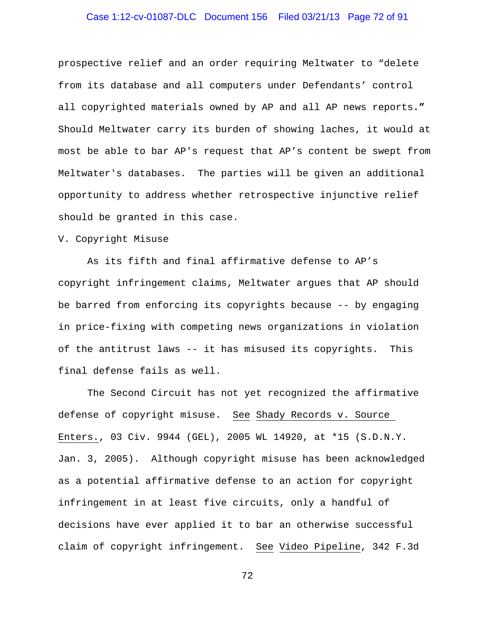### Case 1:12-cv-01087-DLC Document 156 Filed 03/21/13 Page 72 of 91

prospective relief and an order requiring Meltwater to "delete from its database and all computers under Defendants' control all copyrighted materials owned by AP and all AP news reports**."**  Should Meltwater carry its burden of showing laches, it would at most be able to bar AP's request that AP's content be swept from Meltwater's databases. The parties will be given an additional opportunity to address whether retrospective injunctive relief should be granted in this case.

### V. Copyright Misuse

As its fifth and final affirmative defense to AP's copyright infringement claims, Meltwater argues that AP should be barred from enforcing its copyrights because -- by engaging in price-fixing with competing news organizations in violation of the antitrust laws -- it has misused its copyrights. This final defense fails as well.

The Second Circuit has not yet recognized the affirmative defense of copyright misuse. See Shady Records v. Source Enters., 03 Civ. 9944 (GEL), 2005 WL 14920, at \*15 (S.D.N.Y. Jan. 3, 2005). Although copyright misuse has been acknowledged as a potential affirmative defense to an action for copyright infringement in at least five circuits, only a handful of decisions have ever applied it to bar an otherwise successful claim of copyright infringement. See Video Pipeline, 342 F.3d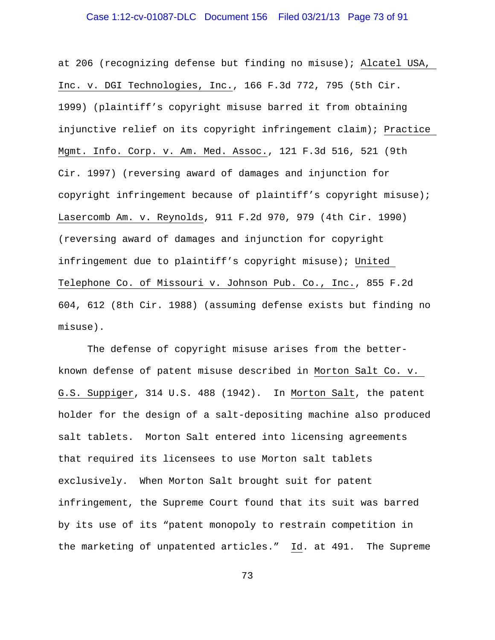#### Case 1:12-cv-01087-DLC Document 156 Filed 03/21/13 Page 73 of 91

at 206 (recognizing defense but finding no misuse); Alcatel USA, Inc. v. DGI Technologies, Inc., 166 F.3d 772, 795 (5th Cir. 1999) (plaintiff's copyright misuse barred it from obtaining injunctive relief on its copyright infringement claim); Practice Mgmt. Info. Corp. v. Am. Med. Assoc., 121 F.3d 516, 521 (9th Cir. 1997) (reversing award of damages and injunction for copyright infringement because of plaintiff's copyright misuse); Lasercomb Am. v. Reynolds, 911 F.2d 970, 979 (4th Cir. 1990) (reversing award of damages and injunction for copyright infringement due to plaintiff's copyright misuse); United Telephone Co. of Missouri v. Johnson Pub. Co., Inc., 855 F.2d 604, 612 (8th Cir. 1988) (assuming defense exists but finding no misuse).

The defense of copyright misuse arises from the betterknown defense of patent misuse described in Morton Salt Co. v. G.S. Suppiger, 314 U.S. 488 (1942). In Morton Salt, the patent holder for the design of a salt-depositing machine also produced salt tablets. Morton Salt entered into licensing agreements that required its licensees to use Morton salt tablets exclusively. When Morton Salt brought suit for patent infringement, the Supreme Court found that its suit was barred by its use of its "patent monopoly to restrain competition in the marketing of unpatented articles." Id. at 491. The Supreme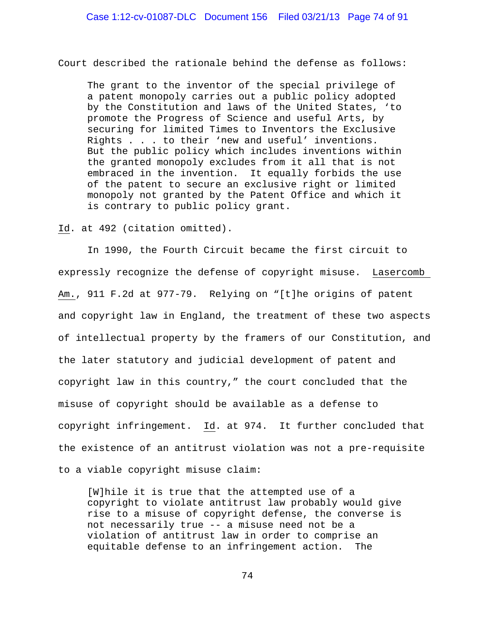Court described the rationale behind the defense as follows:

The grant to the inventor of the special privilege of a patent monopoly carries out a public policy adopted by the Constitution and laws of the United States, 'to promote the Progress of Science and useful Arts, by securing for limited Times to Inventors the Exclusive Rights . . . to their 'new and useful' inventions. But the public policy which includes inventions within the granted monopoly excludes from it all that is not embraced in the invention. It equally forbids the use of the patent to secure an exclusive right or limited monopoly not granted by the Patent Office and which it is contrary to public policy grant.

Id. at 492 (citation omitted).

In 1990, the Fourth Circuit became the first circuit to expressly recognize the defense of copyright misuse. Lasercomb Am., 911 F.2d at 977-79. Relying on "[t]he origins of patent and copyright law in England, the treatment of these two aspects of intellectual property by the framers of our Constitution, and the later statutory and judicial development of patent and copyright law in this country," the court concluded that the misuse of copyright should be available as a defense to copyright infringement. Id. at 974. It further concluded that the existence of an antitrust violation was not a pre-requisite to a viable copyright misuse claim:

[W]hile it is true that the attempted use of a copyright to violate antitrust law probably would give rise to a misuse of copyright defense, the converse is not necessarily true -- a misuse need not be a violation of antitrust law in order to comprise an equitable defense to an infringement action. The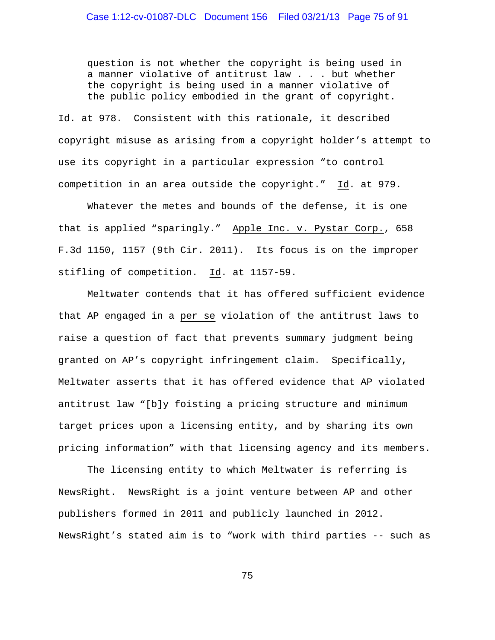#### Case 1:12-cv-01087-DLC Document 156 Filed 03/21/13 Page 75 of 91

question is not whether the copyright is being used in a manner violative of antitrust law . . . but whether the copyright is being used in a manner violative of the public policy embodied in the grant of copyright.

Id. at 978. Consistent with this rationale, it described copyright misuse as arising from a copyright holder's attempt to use its copyright in a particular expression "to control competition in an area outside the copyright." Id. at 979.

Whatever the metes and bounds of the defense, it is one that is applied "sparingly." Apple Inc. v. Pystar Corp., 658 F.3d 1150, 1157 (9th Cir. 2011). Its focus is on the improper stifling of competition. Id. at 1157-59.

Meltwater contends that it has offered sufficient evidence that AP engaged in a per se violation of the antitrust laws to raise a question of fact that prevents summary judgment being granted on AP's copyright infringement claim. Specifically, Meltwater asserts that it has offered evidence that AP violated antitrust law "[b]y foisting a pricing structure and minimum target prices upon a licensing entity, and by sharing its own pricing information" with that licensing agency and its members.

The licensing entity to which Meltwater is referring is NewsRight. NewsRight is a joint venture between AP and other publishers formed in 2011 and publicly launched in 2012. NewsRight's stated aim is to "work with third parties -- such as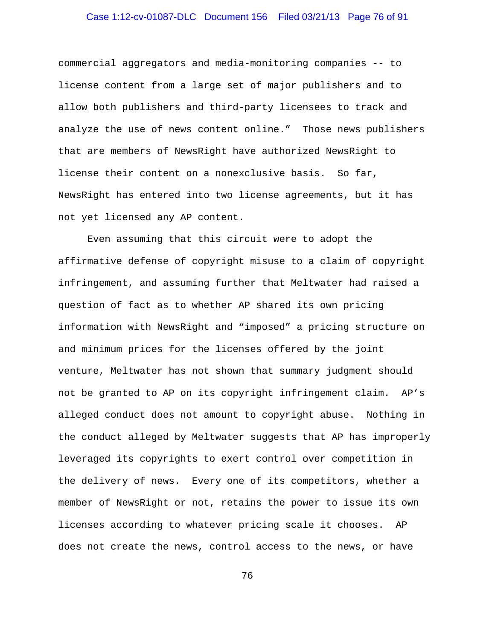## Case 1:12-cv-01087-DLC Document 156 Filed 03/21/13 Page 76 of 91

commercial aggregators and media-monitoring companies -- to license content from a large set of major publishers and to allow both publishers and third-party licensees to track and analyze the use of news content online." Those news publishers that are members of NewsRight have authorized NewsRight to license their content on a nonexclusive basis. So far, NewsRight has entered into two license agreements, but it has not yet licensed any AP content.

Even assuming that this circuit were to adopt the affirmative defense of copyright misuse to a claim of copyright infringement, and assuming further that Meltwater had raised a question of fact as to whether AP shared its own pricing information with NewsRight and "imposed" a pricing structure on and minimum prices for the licenses offered by the joint venture, Meltwater has not shown that summary judgment should not be granted to AP on its copyright infringement claim. AP's alleged conduct does not amount to copyright abuse. Nothing in the conduct alleged by Meltwater suggests that AP has improperly leveraged its copyrights to exert control over competition in the delivery of news. Every one of its competitors, whether a member of NewsRight or not, retains the power to issue its own licenses according to whatever pricing scale it chooses. AP does not create the news, control access to the news, or have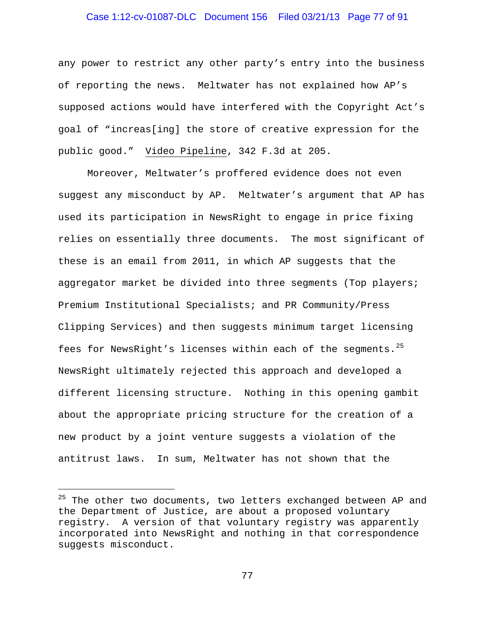#### Case 1:12-cv-01087-DLC Document 156 Filed 03/21/13 Page 77 of 91

any power to restrict any other party's entry into the business of reporting the news. Meltwater has not explained how AP's supposed actions would have interfered with the Copyright Act's goal of "increas[ing] the store of creative expression for the public good." Video Pipeline, 342 F.3d at 205.

Moreover, Meltwater's proffered evidence does not even suggest any misconduct by AP. Meltwater's argument that AP has used its participation in NewsRight to engage in price fixing relies on essentially three documents. The most significant of these is an email from 2011, in which AP suggests that the aggregator market be divided into three segments (Top players; Premium Institutional Specialists; and PR Community/Press Clipping Services) and then suggests minimum target licensing fees for NewsRight's licenses within each of the segments. $25$ NewsRight ultimately rejected this approach and developed a different licensing structure. Nothing in this opening gambit about the appropriate pricing structure for the creation of a new product by a joint venture suggests a violation of the antitrust laws. In sum, Meltwater has not shown that the

÷,

<span id="page-76-0"></span><sup>&</sup>lt;sup>25</sup> The other two documents, two letters exchanged between AP and the Department of Justice, are about a proposed voluntary registry. A version of that voluntary registry was apparently incorporated into NewsRight and nothing in that correspondence suggests misconduct.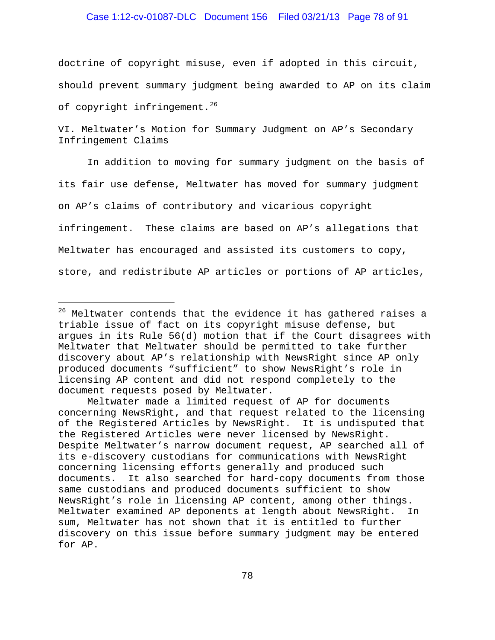#### Case 1:12-cv-01087-DLC Document 156 Filed 03/21/13 Page 78 of 91

doctrine of copyright misuse, even if adopted in this circuit, should prevent summary judgment being awarded to AP on its claim of copyright infringement.<sup>[26](#page-77-0)</sup>

VI. Meltwater's Motion for Summary Judgment on AP's Secondary Infringement Claims

In addition to moving for summary judgment on the basis of its fair use defense, Meltwater has moved for summary judgment on AP's claims of contributory and vicarious copyright infringement. These claims are based on AP's allegations that Meltwater has encouraged and assisted its customers to copy, store, and redistribute AP articles or portions of AP articles,

i<br>I

<span id="page-77-0"></span> $26$  Meltwater contends that the evidence it has gathered raises a triable issue of fact on its copyright misuse defense, but argues in its Rule 56(d) motion that if the Court disagrees with Meltwater that Meltwater should be permitted to take further discovery about AP's relationship with NewsRight since AP only produced documents "sufficient" to show NewsRight's role in licensing AP content and did not respond completely to the document requests posed by Meltwater.

Meltwater made a limited request of AP for documents concerning NewsRight, and that request related to the licensing of the Registered Articles by NewsRight. It is undisputed that the Registered Articles were never licensed by NewsRight. Despite Meltwater's narrow document request, AP searched all of its e-discovery custodians for communications with NewsRight concerning licensing efforts generally and produced such documents. It also searched for hard-copy documents from those same custodians and produced documents sufficient to show NewsRight's role in licensing AP content, among other things. Meltwater examined AP deponents at length about NewsRight. In sum, Meltwater has not shown that it is entitled to further discovery on this issue before summary judgment may be entered for AP.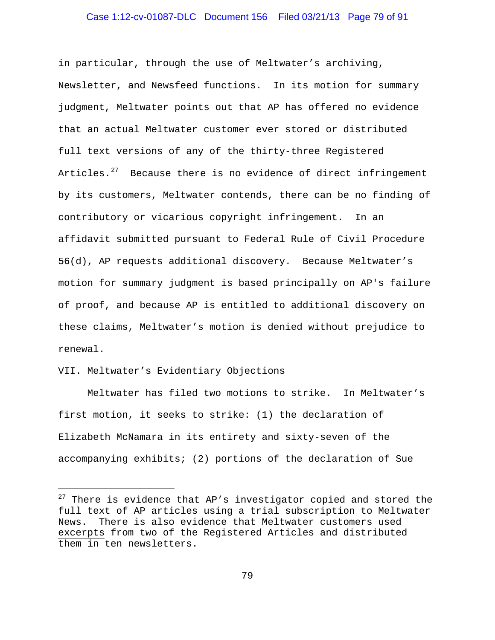#### Case 1:12-cv-01087-DLC Document 156 Filed 03/21/13 Page 79 of 91

in particular, through the use of Meltwater's archiving, Newsletter, and Newsfeed functions. In its motion for summary judgment, Meltwater points out that AP has offered no evidence that an actual Meltwater customer ever stored or distributed full text versions of any of the thirty-three Registered Articles.<sup>[27](#page-78-0)</sup> Because there is no evidence of direct infringement by its customers, Meltwater contends, there can be no finding of contributory or vicarious copyright infringement. In an affidavit submitted pursuant to Federal Rule of Civil Procedure 56(d), AP requests additional discovery. Because Meltwater's motion for summary judgment is based principally on AP's failure of proof, and because AP is entitled to additional discovery on these claims, Meltwater's motion is denied without prejudice to renewal.

#### VII. Meltwater's Evidentiary Objections

i<br>I

Meltwater has filed two motions to strike. In Meltwater's first motion, it seeks to strike: (1) the declaration of Elizabeth McNamara in its entirety and sixty-seven of the accompanying exhibits; (2) portions of the declaration of Sue

<span id="page-78-0"></span> $27$  There is evidence that AP's investigator copied and stored the full text of AP articles using a trial subscription to Meltwater News. There is also evidence that Meltwater customers used excerpts from two of the Registered Articles and distributed them in ten newsletters.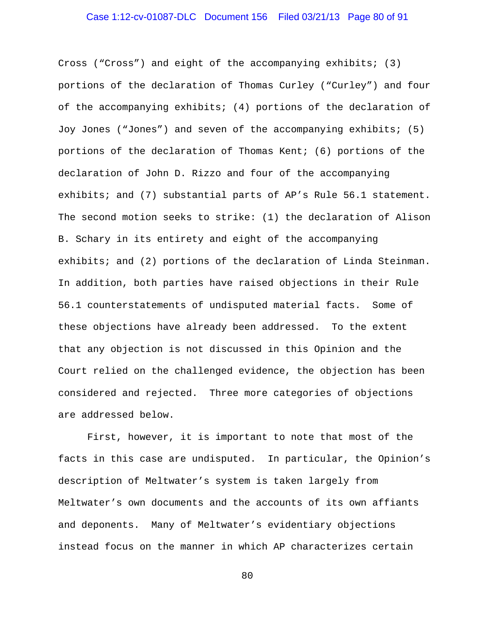#### Case 1:12-cv-01087-DLC Document 156 Filed 03/21/13 Page 80 of 91

Cross ("Cross") and eight of the accompanying exhibits; (3) portions of the declaration of Thomas Curley ("Curley") and four of the accompanying exhibits; (4) portions of the declaration of Joy Jones ("Jones") and seven of the accompanying exhibits; (5) portions of the declaration of Thomas Kent; (6) portions of the declaration of John D. Rizzo and four of the accompanying exhibits; and (7) substantial parts of AP's Rule 56.1 statement. The second motion seeks to strike: (1) the declaration of Alison B. Schary in its entirety and eight of the accompanying exhibits; and (2) portions of the declaration of Linda Steinman. In addition, both parties have raised objections in their Rule 56.1 counterstatements of undisputed material facts. Some of these objections have already been addressed. To the extent that any objection is not discussed in this Opinion and the Court relied on the challenged evidence, the objection has been considered and rejected. Three more categories of objections are addressed below.

First, however, it is important to note that most of the facts in this case are undisputed. In particular, the Opinion's description of Meltwater's system is taken largely from Meltwater's own documents and the accounts of its own affiants and deponents. Many of Meltwater's evidentiary objections instead focus on the manner in which AP characterizes certain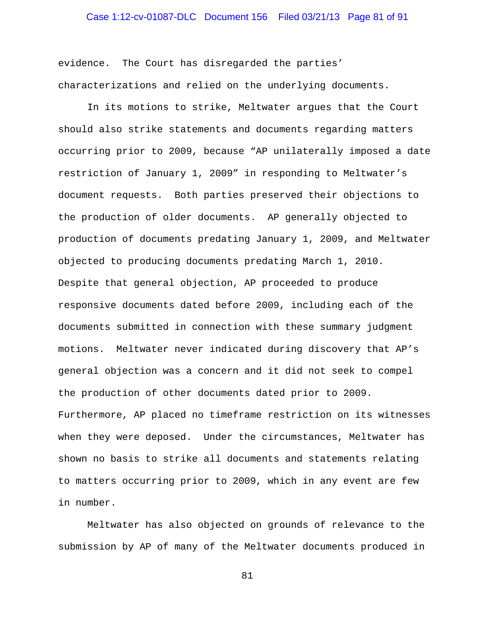#### Case 1:12-cv-01087-DLC Document 156 Filed 03/21/13 Page 81 of 91

evidence. The Court has disregarded the parties' characterizations and relied on the underlying documents.

In its motions to strike, Meltwater argues that the Court should also strike statements and documents regarding matters occurring prior to 2009, because "AP unilaterally imposed a date restriction of January 1, 2009" in responding to Meltwater's document requests. Both parties preserved their objections to the production of older documents. AP generally objected to production of documents predating January 1, 2009, and Meltwater objected to producing documents predating March 1, 2010. Despite that general objection, AP proceeded to produce responsive documents dated before 2009, including each of the documents submitted in connection with these summary judgment motions. Meltwater never indicated during discovery that AP's general objection was a concern and it did not seek to compel the production of other documents dated prior to 2009. Furthermore, AP placed no timeframe restriction on its witnesses when they were deposed. Under the circumstances, Meltwater has shown no basis to strike all documents and statements relating to matters occurring prior to 2009, which in any event are few in number.

Meltwater has also objected on grounds of relevance to the submission by AP of many of the Meltwater documents produced in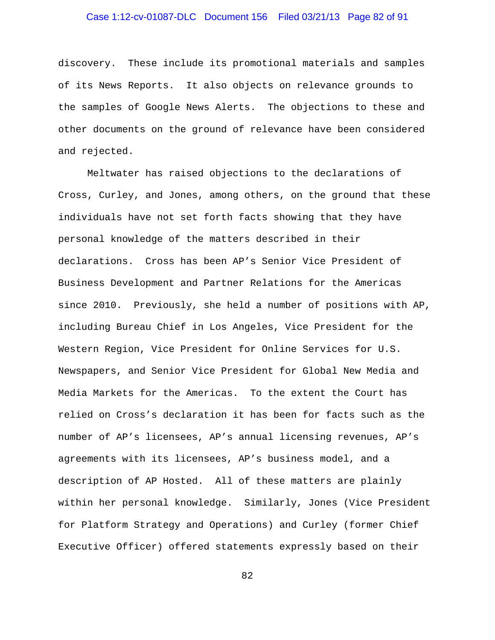## Case 1:12-cv-01087-DLC Document 156 Filed 03/21/13 Page 82 of 91

discovery. These include its promotional materials and samples of its News Reports. It also objects on relevance grounds to the samples of Google News Alerts. The objections to these and other documents on the ground of relevance have been considered and rejected.

Meltwater has raised objections to the declarations of Cross, Curley, and Jones, among others, on the ground that these individuals have not set forth facts showing that they have personal knowledge of the matters described in their declarations. Cross has been AP's Senior Vice President of Business Development and Partner Relations for the Americas since 2010. Previously, she held a number of positions with AP, including Bureau Chief in Los Angeles, Vice President for the Western Region, Vice President for Online Services for U.S. Newspapers, and Senior Vice President for Global New Media and Media Markets for the Americas. To the extent the Court has relied on Cross's declaration it has been for facts such as the number of AP's licensees, AP's annual licensing revenues, AP's agreements with its licensees, AP's business model, and a description of AP Hosted. All of these matters are plainly within her personal knowledge. Similarly, Jones (Vice President for Platform Strategy and Operations) and Curley (former Chief Executive Officer) offered statements expressly based on their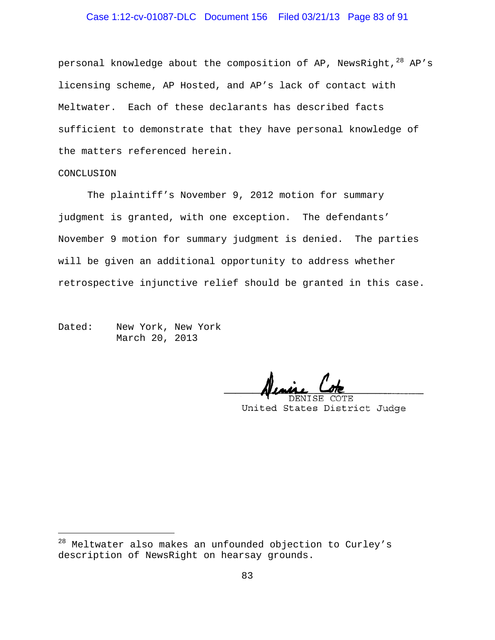## Case 1:12-cv-01087-DLC Document 156 Filed 03/21/13 Page 83 of 91

personal knowledge about the composition of AP, NewsRight, $^{28}$  $^{28}$  $^{28}$  AP's licensing scheme, AP Hosted, and AP's lack of contact with Meltwater. Each of these declarants has described facts sufficient to demonstrate that they have personal knowledge of the matters referenced herein.

#### CONCLUSION

÷,

The plaintiff's November 9, 2012 motion for summary judgment is granted, with one exception. The defendants' November 9 motion for summary judgment is denied. The parties will be given an additional opportunity to address whether retrospective injunctive relief should be granted in this case.

Dated: New York, New York March 20, 2013

 $\overline{\phantom{a}}$ COTE DENISE

United States District Judge

<span id="page-82-0"></span><sup>&</sup>lt;sup>28</sup> Meltwater also makes an unfounded objection to Curley's description of NewsRight on hearsay grounds.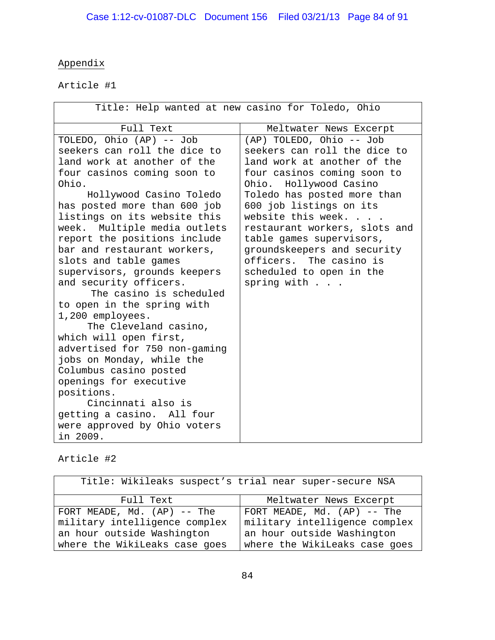# Appendix

Article #1

| Title: Help wanted at new casino for Toledo, Ohio                                                                                                                                                                                                                                                                                                                                                                                                                                                                                                                                                                                                                                                                                                                            |                                                                                                                                                                                                                                                                                                                                                                                                             |
|------------------------------------------------------------------------------------------------------------------------------------------------------------------------------------------------------------------------------------------------------------------------------------------------------------------------------------------------------------------------------------------------------------------------------------------------------------------------------------------------------------------------------------------------------------------------------------------------------------------------------------------------------------------------------------------------------------------------------------------------------------------------------|-------------------------------------------------------------------------------------------------------------------------------------------------------------------------------------------------------------------------------------------------------------------------------------------------------------------------------------------------------------------------------------------------------------|
| Full Text                                                                                                                                                                                                                                                                                                                                                                                                                                                                                                                                                                                                                                                                                                                                                                    | Meltwater News Excerpt                                                                                                                                                                                                                                                                                                                                                                                      |
| TOLEDO, Ohio (AP) -- Job<br>seekers can roll the dice to<br>land work at another of the<br>four casinos coming soon to<br>Ohio.<br>Hollywood Casino Toledo<br>has posted more than 600 job<br>listings on its website this<br>week. Multiple media outlets<br>report the positions include<br>bar and restaurant workers,<br>slots and table games<br>supervisors, grounds keepers<br>and security officers.<br>The casino is scheduled<br>to open in the spring with<br>1,200 employees.<br>The Cleveland casino,<br>which will open first,<br>advertised for 750 non-gaming<br>jobs on Monday, while the<br>Columbus casino posted<br>openings for executive<br>positions.<br>Cincinnati also is<br>getting a casino. All four<br>were approved by Ohio voters<br>in 2009. | (AP) TOLEDO, Ohio -- Job<br>seekers can roll the dice to<br>land work at another of the<br>four casinos coming soon to<br>Ohio. Hollywood Casino<br>Toledo has posted more than<br>600 job listings on its<br>website this week.<br>restaurant workers, slots and<br>table games supervisors,<br>groundskeepers and security<br>officers. The casino is<br>scheduled to open in the<br>spring with $\ldots$ |

Article #2

| Title: Wikileaks suspect's trial near super-secure NSA |                               |
|--------------------------------------------------------|-------------------------------|
| Full Text                                              | Meltwater News Excerpt        |
| FORT MEADE, $Md. (AP)$ -- The                          | FORT MEADE, $Md. (AP)$ -- The |
| military intelligence complex                          | military intelligence complex |
| an hour outside Washington                             | an hour outside Washington    |
| where the WikiLeaks case goes                          | where the WikiLeaks case goes |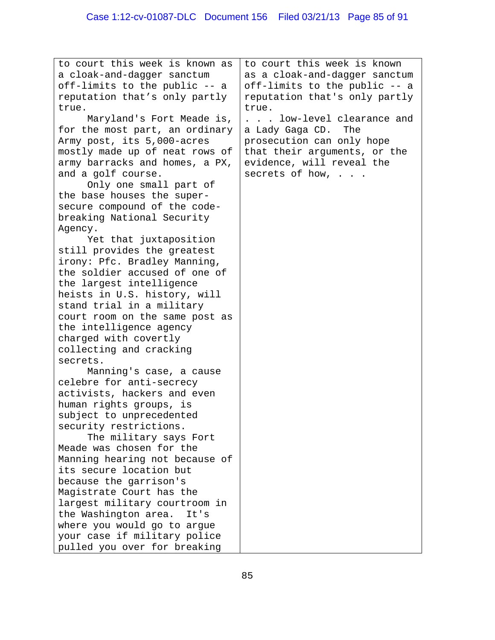| to court this week is known as | to court this week is known   |
|--------------------------------|-------------------------------|
| a cloak-and-dagger sanctum     | as a cloak-and-dagger sanctum |
|                                |                               |
| off-limits to the public -- a  | off-limits to the public -- a |
| reputation that's only partly  | reputation that's only partly |
| true.                          | true.                         |
| Maryland's Fort Meade is,      | low-level clearance and       |
| for the most part, an ordinary | a Lady Gaga CD.<br>The        |
| Army post, its 5,000-acres     | prosecution can only hope     |
| mostly made up of neat rows of | that their arguments, or the  |
| army barracks and homes, a PX, | evidence, will reveal the     |
| and a golf course.             | secrets of how,               |
| Only one small part of         |                               |
| the base houses the super-     |                               |
| secure compound of the code-   |                               |
| breaking National Security     |                               |
| Agency.                        |                               |
| Yet that juxtaposition         |                               |
| still provides the greatest    |                               |
| irony: Pfc. Bradley Manning,   |                               |
| the soldier accused of one of  |                               |
| the largest intelligence       |                               |
| heists in U.S. history, will   |                               |
| stand trial in a military      |                               |
| court room on the same post as |                               |
| the intelligence agency        |                               |
| charged with covertly          |                               |
| collecting and cracking        |                               |
|                                |                               |
| secrets.                       |                               |
| Manning's case, a cause        |                               |
| celebre for anti-secrecy       |                               |
| activists, hackers and even    |                               |
| human rights groups, is        |                               |
| subject to unprecedented       |                               |
| security restrictions.         |                               |
| The military says Fort         |                               |
| Meade was chosen for the       |                               |
| Manning hearing not because of |                               |
| its secure location but        |                               |
| because the garrison's         |                               |
| Magistrate Court has the       |                               |
| largest military courtroom in  |                               |
| the Washington area.<br>It's   |                               |
| where you would go to argue    |                               |
| your case if military police   |                               |
| pulled you over for breaking   |                               |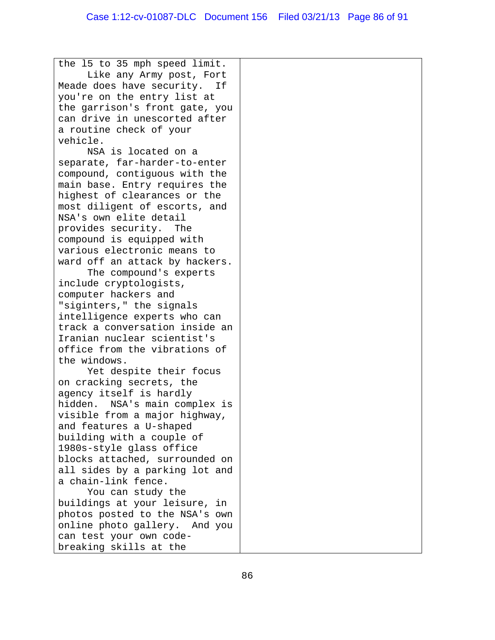the l5 to 35 mph speed limit. Like any Army post, Fort Meade does have security. If you're on the entry list at the garrison's front gate, you can drive in unescorted after a routine check of your vehicle. NSA is located on a

separate, far-harder-to-enter compound, contiguous with the main base. Entry requires the highest of clearances or the most diligent of escorts, and NSA's own elite detail provides security. The compound is equipped with various electronic means to ward off an attack by hackers.

The compound's experts include cryptologists, computer hackers and "siginters," the signals intelligence experts who can track a conversation inside an Iranian nuclear scientist's office from the vibrations of the windows.

Yet despite their focus on cracking secrets, the agency itself is hardly hidden. NSA's main complex is visible from a major highway, and features a U-shaped building with a couple of 1980s-style glass office blocks attached, surrounded on all sides by a parking lot and a chain-link fence.

You can study the buildings at your leisure, in photos posted to the NSA's own online photo gallery. And you can test your own codebreaking skills at the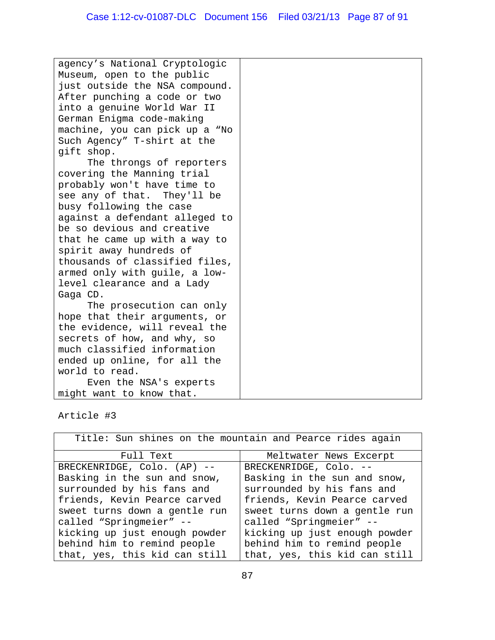| agency's National Cryptologic  |  |
|--------------------------------|--|
| Museum, open to the public     |  |
| just outside the NSA compound. |  |
| After punching a code or two   |  |
| into a genuine World War II    |  |
| German Enigma code-making      |  |
| machine, you can pick up a "No |  |
| Such Agency" T-shirt at the    |  |
| gift shop.                     |  |
| The throngs of reporters       |  |
| covering the Manning trial     |  |
| probably won't have time to    |  |
| see any of that. They'll be    |  |
| busy following the case        |  |
| against a defendant alleged to |  |
| be so devious and creative     |  |
| that he came up with a way to  |  |
| spirit away hundreds of        |  |
| thousands of classified files, |  |
| armed only with guile, a low-  |  |
| level clearance and a Lady     |  |
| Gaga CD.                       |  |
| The prosecution can only       |  |
| hope that their arguments, or  |  |
| the evidence, will reveal the  |  |
| secrets of how, and why, so    |  |
| much classified information    |  |
| ended up online, for all the   |  |
| world to read.                 |  |
| Even the NSA's experts         |  |
| might want to know that.       |  |

## Article #3

| Title: Sun shines on the mountain and Pearce rides again |                               |
|----------------------------------------------------------|-------------------------------|
| Full Text                                                | Meltwater News Excerpt        |
| BRECKENRIDGE, Colo. (AP) --                              | BRECKENRIDGE, Colo. --        |
| Basking in the sun and snow,                             | Basking in the sun and snow,  |
| surrounded by his fans and                               | surrounded by his fans and    |
| friends, Kevin Pearce carved                             | friends, Kevin Pearce carved  |
| sweet turns down a gentle run                            | sweet turns down a gentle run |
| called "Springmeier" --                                  | called "Springmeier" --       |
| kicking up just enough powder                            | kicking up just enough powder |
| behind him to remind people                              | behind him to remind people   |
| that, yes, this kid can still                            | that, yes, this kid can still |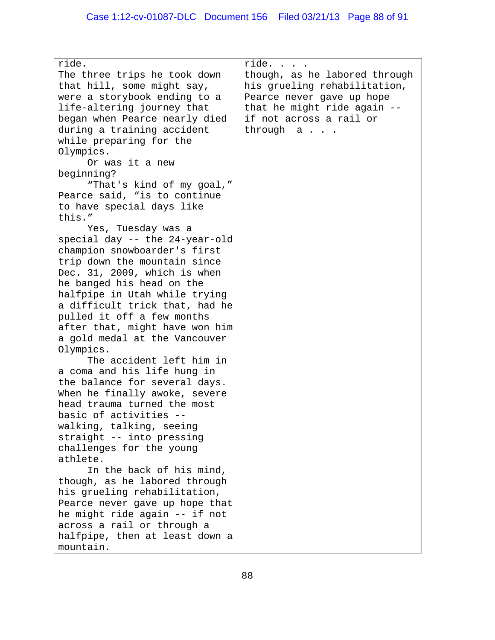| ride.                          | ride.                                                                                      |
|--------------------------------|--------------------------------------------------------------------------------------------|
| The three trips he took down   | though, as he labored through<br>his grueling rehabilitation,<br>Pearce never gave up hope |
| that hill, some might say,     |                                                                                            |
| were a storybook ending to a   |                                                                                            |
| life-altering journey that     | that he might ride again --                                                                |
| began when Pearce nearly died  | if not across a rail or                                                                    |
| during a training accident     | through a                                                                                  |
| while preparing for the        |                                                                                            |
| Olympics.                      |                                                                                            |
| Or was it a new                |                                                                                            |
| beginning?                     |                                                                                            |
|                                |                                                                                            |
| "That's kind of my goal,"      |                                                                                            |
| Pearce said, "is to continue   |                                                                                            |
| to have special days like      |                                                                                            |
| this."                         |                                                                                            |
| Yes, Tuesday was a             |                                                                                            |
| special day -- the 24-year-old |                                                                                            |
| champion snowboarder's first   |                                                                                            |
| trip down the mountain since   |                                                                                            |
| Dec. 31, 2009, which is when   |                                                                                            |
| he banged his head on the      |                                                                                            |
| halfpipe in Utah while trying  |                                                                                            |
| a difficult trick that, had he |                                                                                            |
| pulled it off a few months     |                                                                                            |
| after that, might have won him |                                                                                            |
| a gold medal at the Vancouver  |                                                                                            |
| Olympics.                      |                                                                                            |
| The accident left him in       |                                                                                            |
| a coma and his life hung in    |                                                                                            |
|                                |                                                                                            |
| the balance for several days.  |                                                                                            |
| When he finally awoke, severe  |                                                                                            |
| head trauma turned the most    |                                                                                            |
| basic of activities            |                                                                                            |
| walking, talking, seeing       |                                                                                            |
| straight -- into pressing      |                                                                                            |
| challenges for the young       |                                                                                            |
| athlete.                       |                                                                                            |
| In the back of his mind,       |                                                                                            |
| though, as he labored through  |                                                                                            |
| his grueling rehabilitation,   |                                                                                            |
| Pearce never gave up hope that |                                                                                            |
| he might ride again -- if not  |                                                                                            |
| across a rail or through a     |                                                                                            |
| halfpipe, then at least down a |                                                                                            |
| mountain.                      |                                                                                            |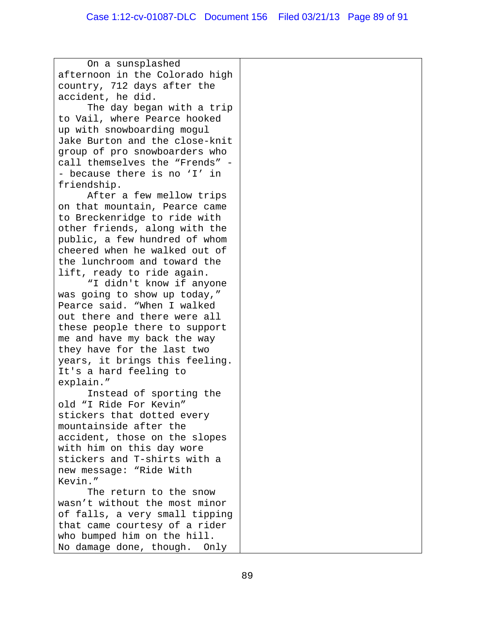On a sunsplashed afternoon in the Colorado high country, 712 days after the accident, he did. The day began with a trip to Vail, where Pearce hooked up with snowboarding mogul Jake Burton and the close-knit group of pro snowboarders who call themselves the "Frends" - - because there is no 'I' in friendship. After a few mellow trips on that mountain, Pearce came to Breckenridge to ride with other friends, along with the public, a few hundred of whom cheered when he walked out of the lunchroom and toward the lift, ready to ride again. "I didn't know if anyone was going to show up today," Pearce said. "When I walked out there and there were all these people there to support me and have my back the way they have for the last two years, it brings this feeling. It's a hard feeling to explain." Instead of sporting the old "I Ride For Kevin" stickers that dotted every mountainside after the accident, those on the slopes with him on this day wore stickers and T-shirts with a new message: "Ride With Kevin." The return to the snow wasn't without the most minor of falls, a very small tipping that came courtesy of a rider who bumped him on the hill. No damage done, though. Only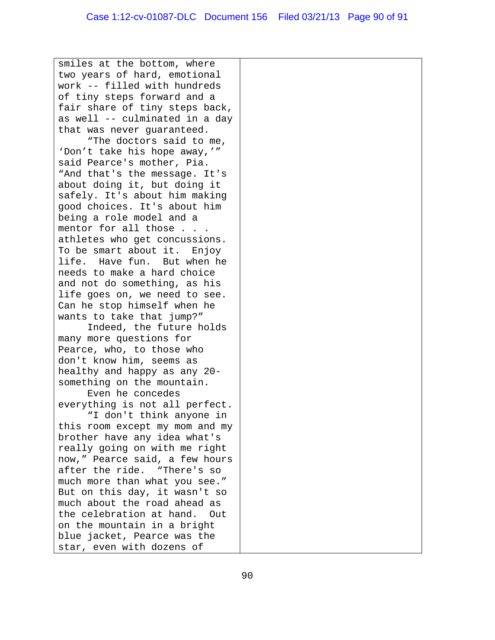smiles at the bottom, where two years of hard, emotional work -- filled with hundreds of tiny steps forward and a fair share of tiny steps back, as well -- culminated in a day that was never guaranteed. "The doctors said to me, 'Don't take his hope away,'" said Pearce's mother, Pia. "And that's the message. It's about doing it, but doing it safely. It's about him making good choices. It's about him being a role model and a mentor for all those . . . athletes who get concussions. To be smart about it. Enjoy life. Have fun. But when he needs to make a hard choice and not do something, as his life goes on, we need to see. Can he stop himself when he wants to take that jump?" Indeed, the future holds many more questions for Pearce, who, to those who don't know him, seems as healthy and happy as any 20 something on the mountain. Even he concedes everything is not all perfect. "I don't think anyone in this room except my mom and my brother have any idea what's really going on with me right now," Pearce said, a few hours after the ride. "There's so much more than what you see." But on this day, it wasn't so much about the road ahead as the celebration at hand. Out on the mountain in a bright blue jacket, Pearce was the star, even with dozens of